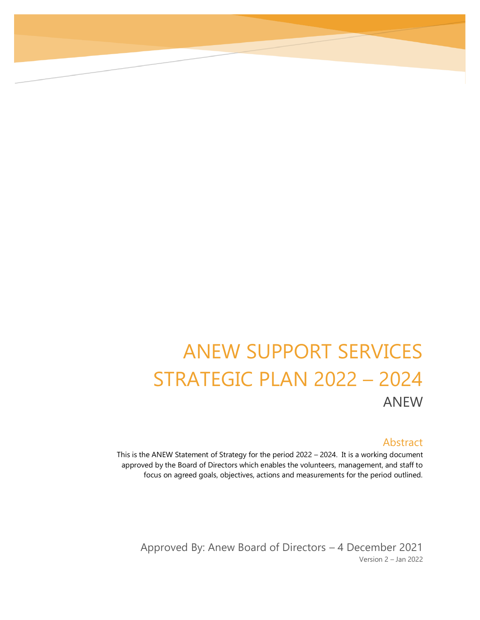# ANEW SUPPORT SERVICES STRATEGIC PLAN 2022 – 2024 ANEW

#### Abstract

This is the ANEW Statement of Strategy for the period 2022 – 2024. It is a working document approved by the Board of Directors which enables the volunteers, management, and staff to focus on agreed goals, objectives, actions and measurements for the period outlined.

Approved By: Anew Board of Directors – 4 December 2021 Version 2 – Jan 2022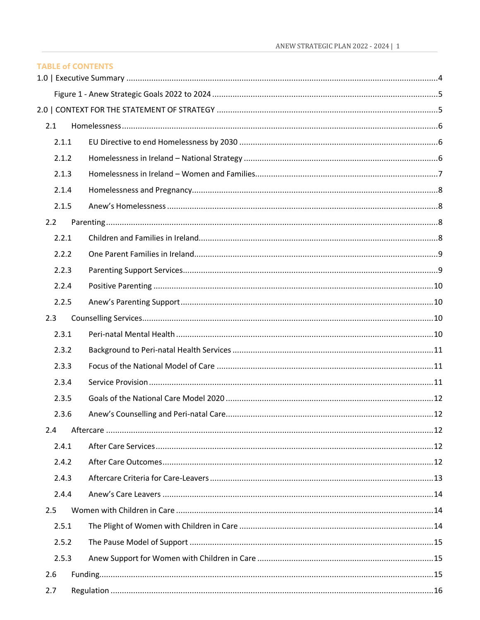| <b>TABLE of CONTENTS</b> |  |  |
|--------------------------|--|--|
|                          |  |  |
|                          |  |  |
|                          |  |  |
| 2.1                      |  |  |
| 2.1.1                    |  |  |
| 2.1.2                    |  |  |
| 2.1.3                    |  |  |
| 2.1.4                    |  |  |
| 2.1.5                    |  |  |
| 2.2                      |  |  |
| 2.2.1                    |  |  |
| 2.2.2                    |  |  |
| 2.2.3                    |  |  |
| 2.2.4                    |  |  |
| 2.2.5                    |  |  |
| 2.3                      |  |  |
| 2.3.1                    |  |  |
| 2.3.2                    |  |  |
| 2.3.3                    |  |  |
| 2.3.4                    |  |  |
| 2.3.5                    |  |  |
| 2.3.6                    |  |  |
| 2.4                      |  |  |
| 2.4.1                    |  |  |
| 2.4.2                    |  |  |
| 2.4.3                    |  |  |
| 2.4.4                    |  |  |
| 2.5                      |  |  |
| 2.5.1                    |  |  |
| 2.5.2                    |  |  |
| 2.5.3                    |  |  |
| 2.6                      |  |  |
| 2.7                      |  |  |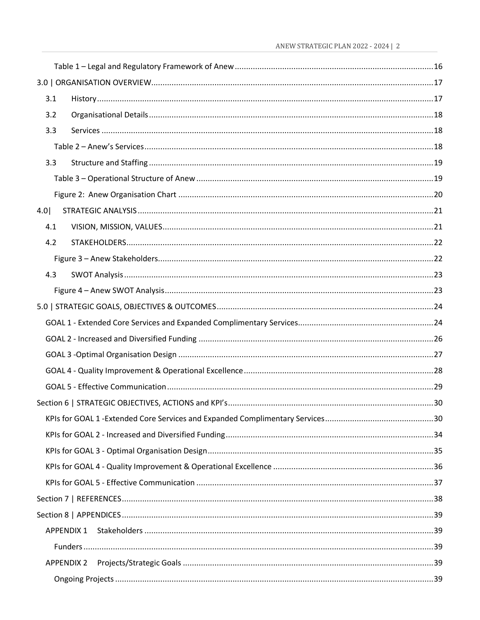| 3.1               |  |
|-------------------|--|
| 3.2               |  |
| 3.3               |  |
|                   |  |
| 3.3               |  |
|                   |  |
|                   |  |
| 4.0               |  |
| 4.1               |  |
| 4.2               |  |
|                   |  |
| 4.3               |  |
|                   |  |
|                   |  |
|                   |  |
|                   |  |
|                   |  |
|                   |  |
|                   |  |
|                   |  |
|                   |  |
|                   |  |
|                   |  |
|                   |  |
|                   |  |
|                   |  |
|                   |  |
| <b>APPENDIX 1</b> |  |
|                   |  |
| APPENDIX 2        |  |
|                   |  |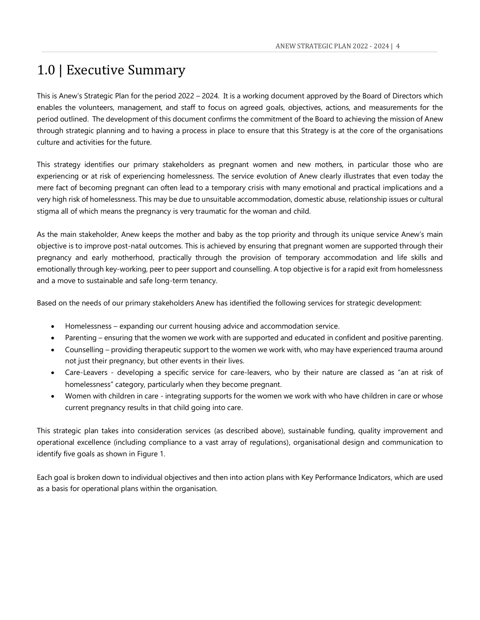## <span id="page-4-0"></span>1.0 | Executive Summary

This is Anew's Strategic Plan for the period 2022 – 2024. It is a working document approved by the Board of Directors which enables the volunteers, management, and staff to focus on agreed goals, objectives, actions, and measurements for the period outlined. The development of this document confirms the commitment of the Board to achieving the mission of Anew through strategic planning and to having a process in place to ensure that this Strategy is at the core of the organisations culture and activities for the future.

This strategy identifies our primary stakeholders as pregnant women and new mothers, in particular those who are experiencing or at risk of experiencing homelessness. The service evolution of Anew clearly illustrates that even today the mere fact of becoming pregnant can often lead to a temporary crisis with many emotional and practical implications and a very high risk of homelessness. This may be due to unsuitable accommodation, domestic abuse, relationship issues or cultural stigma all of which means the pregnancy is very traumatic for the woman and child.

As the main stakeholder, Anew keeps the mother and baby as the top priority and through its unique service Anew's main objective is to improve post-natal outcomes. This is achieved by ensuring that pregnant women are supported through their pregnancy and early motherhood, practically through the provision of temporary accommodation and life skills and emotionally through key-working, peer to peer support and counselling. A top objective is for a rapid exit from homelessness and a move to sustainable and safe long-term tenancy.

Based on the needs of our primary stakeholders Anew has identified the following services for strategic development:

- Homelessness expanding our current housing advice and accommodation service.
- Parenting ensuring that the women we work with are supported and educated in confident and positive parenting.
- Counselling providing therapeutic support to the women we work with, who may have experienced trauma around not just their pregnancy, but other events in their lives.
- Care-Leavers developing a specific service for care-leavers, who by their nature are classed as "an at risk of homelessness" category, particularly when they become pregnant.
- Women with children in care integrating supports for the women we work with who have children in care or whose current pregnancy results in that child going into care.

This strategic plan takes into consideration services (as described above), sustainable funding, quality improvement and operational excellence (including compliance to a vast array of regulations), organisational design and communication to identify five goals as shown in Figure 1.

Each goal is broken down to individual objectives and then into action plans with Key Performance Indicators, which are used as a basis for operational plans within the organisation.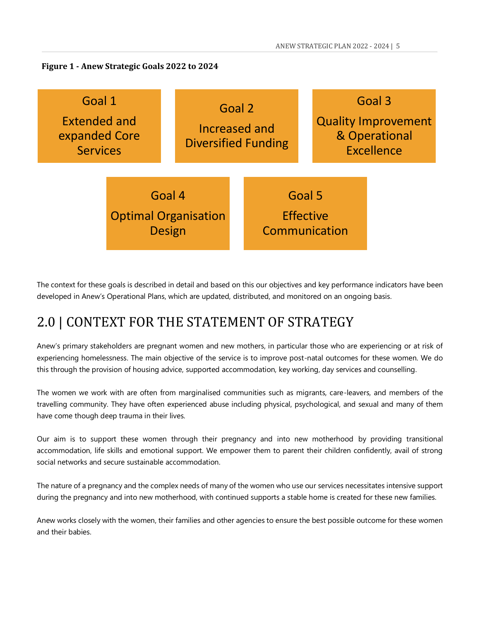<span id="page-5-0"></span>**Figure 1 - Anew Strategic Goals 2022 to 2024**



The context for these goals is described in detail and based on this our objectives and key performance indicators have been developed in Anew's Operational Plans, which are updated, distributed, and monitored on an ongoing basis.

## <span id="page-5-1"></span>2.0 | CONTEXT FOR THE STATEMENT OF STRATEGY

Anew's primary stakeholders are pregnant women and new mothers, in particular those who are experiencing or at risk of experiencing homelessness. The main objective of the service is to improve post-natal outcomes for these women. We do this through the provision of housing advice, supported accommodation, key working, day services and counselling.

The women we work with are often from marginalised communities such as migrants, care-leavers, and members of the travelling community. They have often experienced abuse including physical, psychological, and sexual and many of them have come though deep trauma in their lives.

Our aim is to support these women through their pregnancy and into new motherhood by providing transitional accommodation, life skills and emotional support. We empower them to parent their children confidently, avail of strong social networks and secure sustainable accommodation.

The nature of a pregnancy and the complex needs of many of the women who use our services necessitates intensive support during the pregnancy and into new motherhood, with continued supports a stable home is created for these new families.

Anew works closely with the women, their families and other agencies to ensure the best possible outcome for these women and their babies.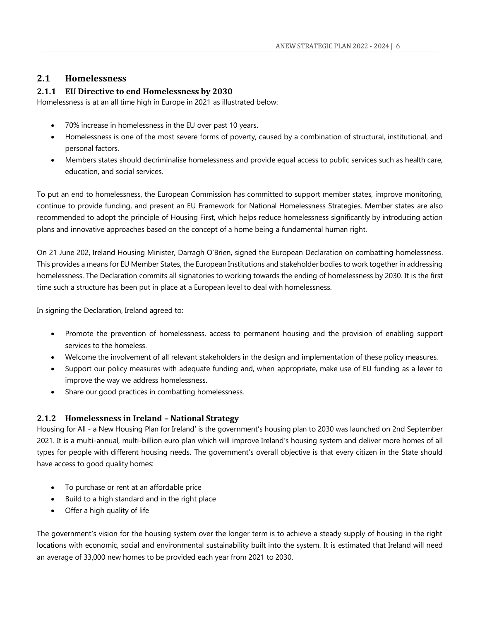#### <span id="page-6-0"></span>**2.1 Homelessness**

#### <span id="page-6-1"></span>**2.1.1 EU Directive to end Homelessness by 2030**

Homelessness is at an all time high in Europe in 2021 as illustrated below:

- 70% increase in homelessness in the EU over past 10 years.
- Homelessness is one of the most severe forms of poverty, caused by a combination of structural, institutional, and personal factors.
- Members states should decriminalise homelessness and provide equal access to public services such as health care, education, and social services.

To put an end to homelessness, the European Commission has committed to support member states, improve monitoring, continue to provide funding, and present an EU Framework for National Homelessness Strategies. Member states are also recommended to adopt the principle of Housing First, which helps reduce homelessness significantly by introducing action plans and innovative approaches based on the concept of a home being a fundamental human right.

On 21 June 202, Ireland Housing Minister, Darragh O'Brien, signed the European Declaration on combatting homelessness. This provides a means for EU Member States, the European Institutions and stakeholder bodies to work together in addressing homelessness. The Declaration commits all signatories to working towards the ending of homelessness by 2030. It is the first time such a structure has been put in place at a European level to deal with homelessness.

In signing the Declaration, Ireland agreed to:

- Promote the prevention of homelessness, access to permanent housing and the provision of enabling support services to the homeless.
- Welcome the involvement of all relevant stakeholders in the design and implementation of these policy measures.
- Support our policy measures with adequate funding and, when appropriate, make use of EU funding as a lever to improve the way we address homelessness.
- Share our good practices in combatting homelessness.

#### <span id="page-6-2"></span>**2.1.2 Homelessness in Ireland – National Strategy**

Housing for All - a New Housing Plan for Ireland' is the government's housing plan to 2030 was launched on 2nd September 2021. It is a multi-annual, multi-billion euro plan which will improve Ireland's housing system and deliver more homes of all types for people with different housing needs. The government's overall objective is that every citizen in the State should have access to good quality homes:

- To purchase or rent at an affordable price
- Build to a high standard and in the right place
- Offer a high quality of life

The government's vision for the housing system over the longer term is to achieve a steady supply of housing in the right locations with economic, social and environmental sustainability built into the system. It is estimated that Ireland will need an average of 33,000 new homes to be provided each year from 2021 to 2030.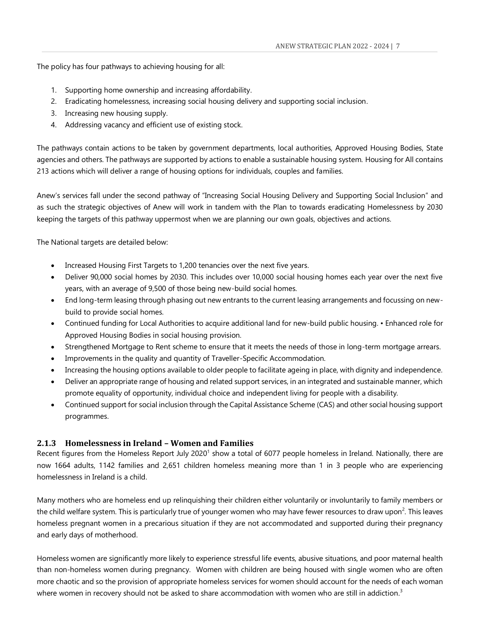The policy has four pathways to achieving housing for all:

- 1. Supporting home ownership and increasing affordability.
- 2. Eradicating homelessness, increasing social housing delivery and supporting social inclusion.
- 3. Increasing new housing supply.
- 4. Addressing vacancy and efficient use of existing stock.

The pathways contain actions to be taken by government departments, local authorities, Approved Housing Bodies, State agencies and others. The pathways are supported by actions to enable a sustainable housing system. Housing for All contains 213 actions which will deliver a range of housing options for individuals, couples and families.

Anew's services fall under the second pathway of "Increasing Social Housing Delivery and Supporting Social Inclusion" and as such the strategic objectives of Anew will work in tandem with the Plan to towards eradicating Homelessness by 2030 keeping the targets of this pathway uppermost when we are planning our own goals, objectives and actions.

The National targets are detailed below:

- Increased Housing First Targets to 1,200 tenancies over the next five years.
- Deliver 90,000 social homes by 2030. This includes over 10,000 social housing homes each year over the next five years, with an average of 9,500 of those being new-build social homes.
- End long-term leasing through phasing out new entrants to the current leasing arrangements and focussing on newbuild to provide social homes.
- Continued funding for Local Authorities to acquire additional land for new-build public housing. Enhanced role for Approved Housing Bodies in social housing provision.
- Strengthened Mortgage to Rent scheme to ensure that it meets the needs of those in long-term mortgage arrears.
- Improvements in the quality and quantity of Traveller-Specific Accommodation.
- Increasing the housing options available to older people to facilitate ageing in place, with dignity and independence.
- Deliver an appropriate range of housing and related support services, in an integrated and sustainable manner, which promote equality of opportunity, individual choice and independent living for people with a disability.
- Continued support for social inclusion through the Capital Assistance Scheme (CAS) and other social housing support programmes.

#### <span id="page-7-0"></span>**2.1.3 Homelessness in Ireland – Women and Families**

Recent figures from the Homeless Report July 2020<sup>1</sup> show a total of 6077 people homeless in Ireland. Nationally, there are now 1664 adults, 1142 families and 2,651 children homeless meaning more than 1 in 3 people who are experiencing homelessness in Ireland is a child.

Many mothers who are homeless end up relinquishing their children either voluntarily or involuntarily to family members or the child welfare system. This is particularly true of younger women who may have fewer resources to draw upon<sup>2</sup>. This leaves homeless pregnant women in a precarious situation if they are not accommodated and supported during their pregnancy and early days of motherhood.

Homeless women are significantly more likely to experience stressful life events, abusive situations, and poor maternal health than non-homeless women during pregnancy. Women with children are being housed with single women who are often more chaotic and so the provision of appropriate homeless services for women should account for the needs of each woman where women in recovery should not be asked to share accommodation with women who are still in addiction.<sup>3</sup>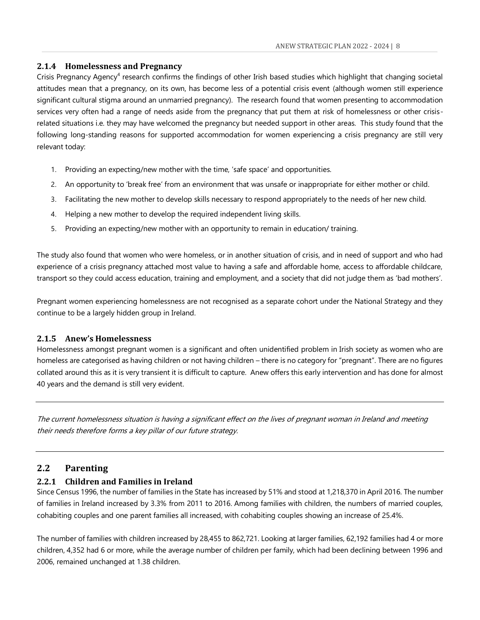#### <span id="page-8-0"></span>**2.1.4 Homelessness and Pregnancy**

Crisis Pregnancy Agency<sup>4</sup> research confirms the findings of other Irish based studies which highlight that changing societal attitudes mean that a pregnancy, on its own, has become less of a potential crisis event (although women still experience significant cultural stigma around an unmarried pregnancy). The research found that women presenting to accommodation services very often had a range of needs aside from the pregnancy that put them at risk of homelessness or other crisisrelated situations i.e. they may have welcomed the pregnancy but needed support in other areas. This study found that the following long-standing reasons for supported accommodation for women experiencing a crisis pregnancy are still very relevant today:

- 1. Providing an expecting/new mother with the time, 'safe space' and opportunities.
- 2. An opportunity to 'break free' from an environment that was unsafe or inappropriate for either mother or child.
- 3. Facilitating the new mother to develop skills necessary to respond appropriately to the needs of her new child.
- 4. Helping a new mother to develop the required independent living skills.
- 5. Providing an expecting/new mother with an opportunity to remain in education/ training.

The study also found that women who were homeless, or in another situation of crisis, and in need of support and who had experience of a crisis pregnancy attached most value to having a safe and affordable home, access to affordable childcare, transport so they could access education, training and employment, and a society that did not judge them as 'bad mothers'.

Pregnant women experiencing homelessness are not recognised as a separate cohort under the National Strategy and they continue to be a largely hidden group in Ireland.

#### <span id="page-8-1"></span>**2.1.5 Anew's Homelessness**

Homelessness amongst pregnant women is a significant and often unidentified problem in Irish society as women who are homeless are categorised as having children or not having children – there is no category for "pregnant". There are no figures collated around this as it is very transient it is difficult to capture. Anew offers this early intervention and has done for almost 40 years and the demand is still very evident.

The current homelessness situation is having a significant effect on the lives of pregnant woman in Ireland and meeting their needs therefore forms a key pillar of our future strategy.

#### <span id="page-8-2"></span>**2.2 Parenting**

#### <span id="page-8-3"></span>**2.2.1 Children and Families in Ireland**

Since Census 1996, the number of families in the State has increased by 51% and stood at 1,218,370 in April 2016. The number of families in Ireland increased by 3.3% from 2011 to 2016. Among families with children, the numbers of married couples, cohabiting couples and one parent families all increased, with cohabiting couples showing an increase of 25.4%.

The number of families with children increased by 28,455 to 862,721. Looking at larger families, 62,192 families had 4 or more children, 4,352 had 6 or more, while the average number of children per family, which had been declining between 1996 and 2006, remained unchanged at 1.38 children.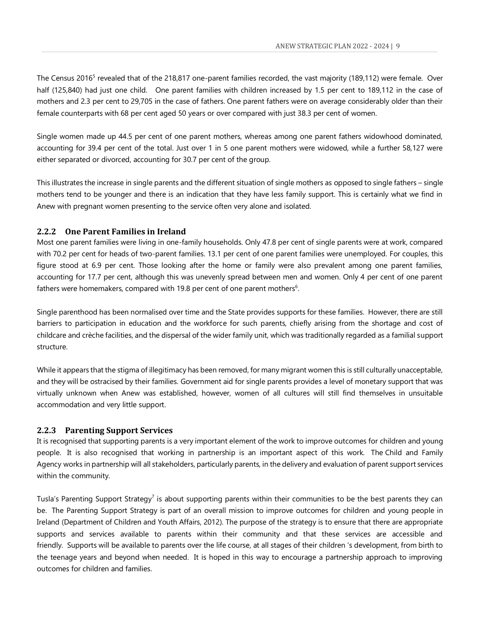The Census 2016<sup>5</sup> revealed that of the 218,817 one-parent families recorded, the vast majority (189,112) were female. Over half (125,840) had just one child. One parent families with children increased by 1.5 per cent to 189,112 in the case of mothers and 2.3 per cent to 29,705 in the case of fathers. One parent fathers were on average considerably older than their female counterparts with 68 per cent aged 50 years or over compared with just 38.3 per cent of women.

Single women made up 44.5 per cent of one parent mothers, whereas among one parent fathers widowhood dominated, accounting for 39.4 per cent of the total. Just over 1 in 5 one parent mothers were widowed, while a further 58,127 were either separated or divorced, accounting for 30.7 per cent of the group.

This illustrates the increase in single parents and the different situation of single mothers as opposed to single fathers – single mothers tend to be younger and there is an indication that they have less family support. This is certainly what we find in Anew with pregnant women presenting to the service often very alone and isolated.

#### <span id="page-9-0"></span>**2.2.2 One Parent Families in Ireland**

Most one parent families were living in one-family households. Only 47.8 per cent of single parents were at work, compared with 70.2 per cent for heads of two-parent families. 13.1 per cent of one parent families were unemployed. For couples, this figure stood at 6.9 per cent. Those looking after the home or family were also prevalent among one parent families, accounting for 17.7 per cent, although this was unevenly spread between men and women. Only 4 per cent of one parent fathers were homemakers, compared with 19.8 per cent of one parent mothers $6$ .

Single parenthood has been normalised over time and the State provides supports for these families. However, there are still barriers to participation in education and the workforce for such parents, chiefly arising from the shortage and cost of childcare and crèche facilities, and the dispersal of the wider family unit, which was traditionally regarded as a familial support structure.

While it appears that the stigma of illegitimacy has been removed, for many migrant women this is still culturally unacceptable, and they will be ostracised by their families. Government aid for single parents provides a level of monetary support that was virtually unknown when Anew was established, however, women of all cultures will still find themselves in unsuitable accommodation and very little support.

#### <span id="page-9-1"></span>**2.2.3 Parenting Support Services**

It is recognised that supporting parents is a very important element of the work to improve outcomes for children and young people. It is also recognised that working in partnership is an important aspect of this work. The Child and Family Agency works in partnership will all stakeholders, particularly parents, in the delivery and evaluation of parent support services within the community.

Tusla's Parenting Support Strategy<sup>7</sup> is about supporting parents within their communities to be the best parents they can be. The Parenting Support Strategy is part of an overall mission to improve outcomes for children and young people in Ireland (Department of Children and Youth Affairs, 2012). The purpose of the strategy is to ensure that there are appropriate supports and services available to parents within their community and that these services are accessible and friendly. Supports will be available to parents over the life course, at all stages of their children 's development, from birth to the teenage years and beyond when needed. It is hoped in this way to encourage a partnership approach to improving outcomes for children and families.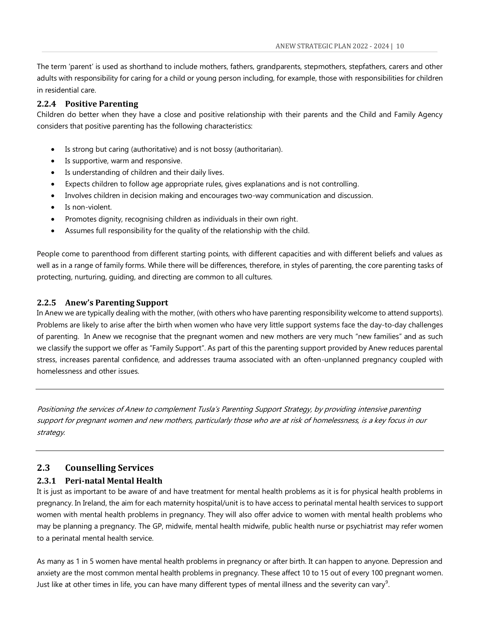The term 'parent' is used as shorthand to include mothers, fathers, grandparents, stepmothers, stepfathers, carers and other adults with responsibility for caring for a child or young person including, for example, those with responsibilities for children in residential care.

#### <span id="page-10-0"></span>**2.2.4 Positive Parenting**

Children do better when they have a close and positive relationship with their parents and the Child and Family Agency considers that positive parenting has the following characteristics:

- Is strong but caring (authoritative) and is not bossy (authoritarian).
- Is supportive, warm and responsive.
- Is understanding of children and their daily lives.
- Expects children to follow age appropriate rules, gives explanations and is not controlling.
- Involves children in decision making and encourages two-way communication and discussion.
- Is non-violent.
- Promotes dignity, recognising children as individuals in their own right.
- Assumes full responsibility for the quality of the relationship with the child.

People come to parenthood from different starting points, with different capacities and with different beliefs and values as well as in a range of family forms. While there will be differences, therefore, in styles of parenting, the core parenting tasks of protecting, nurturing, guiding, and directing are common to all cultures.

#### <span id="page-10-1"></span>**2.2.5 Anew's Parenting Support**

In Anew we are typically dealing with the mother, (with others who have parenting responsibility welcome to attend supports). Problems are likely to arise after the birth when women who have very little support systems face the day-to-day challenges of parenting. In Anew we recognise that the pregnant women and new mothers are very much "new families" and as such we classify the support we offer as "Family Support". As part of this the parenting support provided by Anew reduces parental stress, increases parental confidence, and addresses trauma associated with an often-unplanned pregnancy coupled with homelessness and other issues.

Positioning the services of Anew to complement Tusla's Parenting Support Strategy, by providing intensive parenting support for pregnant women and new mothers, particularly those who are at risk of homelessness, is a key focus in our strategy.

#### <span id="page-10-2"></span>**2.3 Counselling Services**

#### <span id="page-10-3"></span>**2.3.1 Peri-natal Mental Health**

It is just as important to be aware of and have treatment for mental health problems as it is for physical health problems in pregnancy. In Ireland, the aim for each maternity hospital/unit is to have access to perinatal mental health services to support women with mental health problems in pregnancy. They will also offer advice to women with mental health problems who may be planning a pregnancy. The GP, midwife, mental health midwife, public health nurse or psychiatrist may refer women to a perinatal mental health service.

As many as 1 in 5 women have mental health problems in pregnancy or after birth. It can happen to anyone. Depression and anxiety are the most common mental health problems in pregnancy. These affect 10 to 15 out of every 100 pregnant women. Just like at other times in life, you can have many different types of mental illness and the severity can vary $^9$ .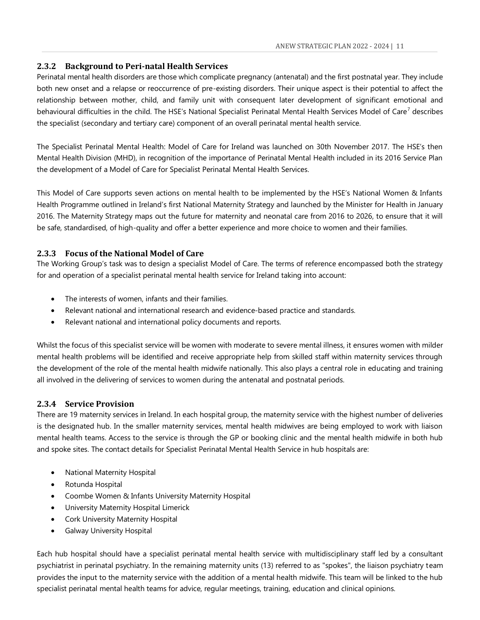#### <span id="page-11-0"></span>**2.3.2 Background to Peri-natal Health Services**

Perinatal mental health disorders are those which complicate pregnancy (antenatal) and the first postnatal year. They include both new onset and a relapse or reoccurrence of pre-existing disorders. Their unique aspect is their potential to affect the relationship between mother, child, and family unit with consequent later development of significant emotional and behavioural difficulties in the child. The HSE's National Specialist Perinatal Mental Health Services Model of Care<sup>7</sup> describes the specialist (secondary and tertiary care) component of an overall perinatal mental health service.

The Specialist Perinatal Mental Health: Model of Care for Ireland was launched on 30th November 2017. The HSE's then Mental Health Division (MHD), in recognition of the importance of Perinatal Mental Health included in its 2016 Service Plan the development of a Model of Care for Specialist Perinatal Mental Health Services.

This Model of Care supports seven actions on mental health to be implemented by the HSE's National Women & Infants Health Programme outlined in Ireland's first [National Maternity Strategy](http://health.gov.ie/blog/publications/national-maternity-strategy-creating-a-better-future-together-2016-2026/) and launched by the Minister for Health in January 2016. The Maternity Strategy maps out the future for maternity and neonatal care from 2016 to 2026, to ensure that it will be safe, standardised, of high-quality and offer a better experience and more choice to women and their families.

#### <span id="page-11-1"></span>**2.3.3 Focus of the National Model of Care**

The Working Group's task was to design a specialist Model of Care. The terms of reference encompassed both the strategy for and operation of a specialist perinatal mental health service for Ireland taking into account:

- The interests of women, infants and their families.
- Relevant national and international research and evidence-based practice and standards.
- Relevant national and international policy documents and reports.

Whilst the focus of this specialist service will be women with moderate to severe mental illness, it ensures women with milder mental health problems will be identified and receive appropriate help from skilled staff within maternity services through the development of the role of the mental health midwife nationally. This also plays a central role in educating and training all involved in the delivering of services to women during the antenatal and postnatal periods.

#### <span id="page-11-2"></span>**2.3.4 Service Provision**

There are 19 maternity services in Ireland. In each hospital group, the maternity service with the highest number of deliveries is the designated hub. In the smaller maternity services, mental health midwives are being employed to work with liaison mental health teams. Access to the service is through the GP or booking clinic and the mental health midwife in both hub and spoke sites. The contact details for Specialist Perinatal Mental Health Service in hub hospitals are:

- National Maternity Hospital
- Rotunda Hospital
- Coombe Women & Infants University Maternity Hospital
- University Maternity Hospital Limerick
- **Cork University Maternity Hospital**
- Galway University Hospital

Each hub hospital should have a specialist perinatal mental health service with multidisciplinary staff led by a consultant psychiatrist in perinatal psychiatry. In the remaining maternity units (13) referred to as "spokes", the liaison psychiatry team provides the input to the maternity service with the addition of a mental health midwife. This team will be linked to the hub specialist perinatal mental health teams for advice, regular meetings, training, education and clinical opinions.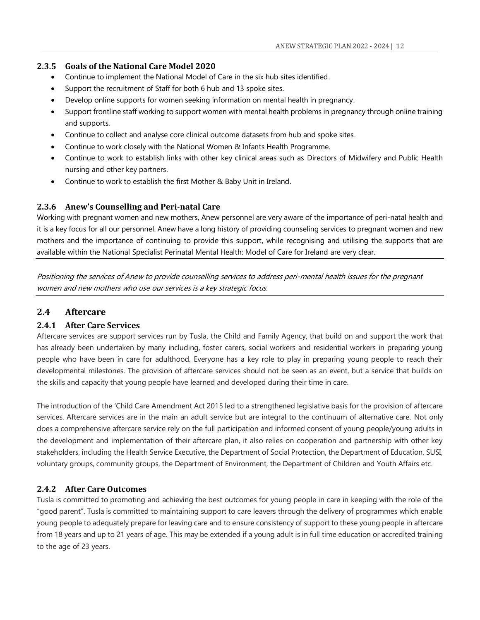#### <span id="page-12-0"></span>**2.3.5 Goals of the National Care Model 2020**

- Continue to implement the National Model of Care in the six hub sites identified.
- Support the recruitment of Staff for both 6 hub and 13 spoke sites.
- Develop online supports for women seeking information on mental health in pregnancy.
- Support frontline staff working to support women with mental health problems in pregnancy through online training and supports.
- Continue to collect and analyse core clinical outcome datasets from hub and spoke sites.
- Continue to work closely with the National Women & Infants Health Programme.
- Continue to work to establish links with other key clinical areas such as Directors of Midwifery and Public Health nursing and other key partners.
- Continue to work to establish the first Mother & Baby Unit in Ireland.

#### <span id="page-12-1"></span>**2.3.6 Anew's Counselling and Peri-natal Care**

Working with pregnant women and new mothers, Anew personnel are very aware of the importance of peri-natal health and it is a key focus for all our personnel. Anew have a long history of providing counseling services to pregnant women and new mothers and the importance of continuing to provide this support, while recognising and utilising the supports that are available within the National Specialist Perinatal Mental Health: Model of Care for Ireland are very clear.

Positioning the services of Anew to provide counselling services to address peri-mental health issues for the pregnant women and new mothers who use our services is a key strategic focus.

#### <span id="page-12-2"></span>**2.4 Aftercare**

#### <span id="page-12-3"></span>**2.4.1 After Care Services**

Aftercare services are support services run by Tusla, the Child and Family Agency, that build on and support the work that has already been undertaken by many including, foster carers, social workers and residential workers in preparing young people who have been in care for adulthood. Everyone has a key role to play in preparing young people to reach their developmental milestones. The provision of aftercare services should not be seen as an event, but a service that builds on the skills and capacity that young people have learned and developed during their time in care.

The introduction of the 'Child Care Amendment Act 2015 led to a strengthened legislative basis for the provision of aftercare services. Aftercare services are in the main an adult service but are integral to the continuum of alternative care. Not only does a comprehensive aftercare service rely on the full participation and informed consent of young people/young adults in the development and implementation of their aftercare plan, it also relies on cooperation and partnership with other key stakeholders, including the Health Service Executive, the Department of Social Protection, the Department of Education, SUSI, voluntary groups, community groups, the Department of Environment, the Department of Children and Youth Affairs etc.

#### <span id="page-12-4"></span>**2.4.2 After Care Outcomes**

Tusla is committed to promoting and achieving the best outcomes for young people in care in keeping with the role of the "good parent". Tusla is committed to maintaining support to care leavers through the delivery of programmes which enable young people to adequately prepare for leaving care and to ensure consistency of support to these young people in aftercare from 18 years and up to 21 years of age. This may be extended if a young adult is in full time education or accredited training to the age of 23 years.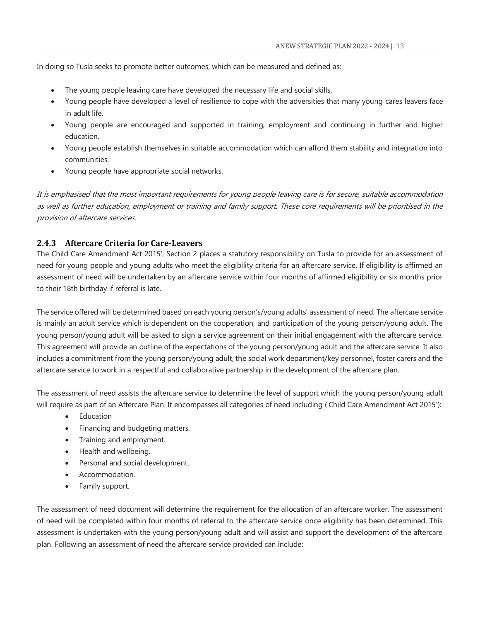In doing so Tusla seeks to promote better outcomes, which can be measured and defined as:

- The young people leaving care have developed the necessary life and social skills.
- Young people have developed a level of resilience to cope with the adversities that many young cares leavers face in adult life.
- Young people are encouraged and supported in training, employment and continuing in further and higher education.
- Young people establish themselves in suitable accommodation which can afford them stability and integration into communities.
- Young people have appropriate social networks.

It is emphasised that the most important requirements for young people leaving care is for secure, suitable accommodation as well as further education, employment or training and family support. These core requirements will be prioritised in the provision of aftercare services.

#### <span id="page-13-0"></span>**2.4.3 Aftercare Criteria for Care-Leavers**

The Child Care Amendment Act 2015', Section 2 places a statutory responsibility on Tusla to provide for an assessment of need for young people and young adults who meet the eligibility criteria for an aftercare service. If eligibility is affirmed an assessment of need will be undertaken by an aftercare service within four months of affirmed eligibility or six months prior to their 18th birthday if referral is late.

The service offered will be determined based on each young person's/young adults' assessment of need. The aftercare service is mainly an adult service which is dependent on the cooperation, and participation of the young person/young adult. The young person/young adult will be asked to sign a service agreement on their initial engagement with the aftercare service. This agreement will provide an outline of the expectations of the young person/young adult and the aftercare service. It also includes a commitment from the young person/young adult, the social work department/key personnel, foster carers and the aftercare service to work in a respectful and collaborative partnership in the development of the aftercare plan.

The assessment of need assists the aftercare service to determine the level of support which the young person/young adult will require as part of an Aftercare Plan. It encompasses all categories of need including ('Child Care Amendment Act 2015'):

- Education
- Financing and budgeting matters.
- Training and employment.
- Health and wellbeing.
- Personal and social development.
- Accommodation.
- Family support.

The assessment of need document will determine the requirement for the allocation of an aftercare worker. The assessment of need will be completed within four months of referral to the aftercare service once eligibility has been determined. This assessment is undertaken with the young person/young adult and will assist and support the development of the aftercare plan. Following an assessment of need the aftercare service provided can include: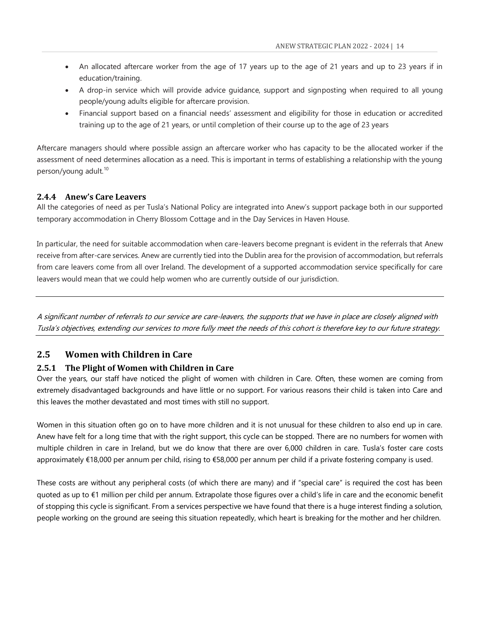- An allocated aftercare worker from the age of 17 years up to the age of 21 years and up to 23 years if in education/training.
- A drop-in service which will provide advice guidance, support and signposting when required to all young people/young adults eligible for aftercare provision.
- Financial support based on a financial needs' assessment and eligibility for those in education or accredited training up to the age of 21 years, or until completion of their course up to the age of 23 years

Aftercare managers should where possible assign an aftercare worker who has capacity to be the allocated worker if the assessment of need determines allocation as a need. This is important in terms of establishing a relationship with the young person/young adult.<sup>10</sup>

#### <span id="page-14-0"></span>**2.4.4 Anew's Care Leavers**

All the categories of need as per Tusla's National Policy are integrated into Anew's support package both in our supported temporary accommodation in Cherry Blossom Cottage and in the Day Services in Haven House.

In particular, the need for suitable accommodation when care-leavers become pregnant is evident in the referrals that Anew receive from after-care services. Anew are currently tied into the Dublin area for the provision of accommodation, but referrals from care leavers come from all over Ireland. The development of a supported accommodation service specifically for care leavers would mean that we could help women who are currently outside of our jurisdiction.

A significant number of referrals to our service are care-leavers, the supports that we have in place are closely aligned with Tusla's objectives, extending our services to more fully meet the needs of this cohort is therefore key to our future strategy.

#### <span id="page-14-1"></span>**2.5 Women with Children in Care**

#### <span id="page-14-2"></span>**2.5.1 The Plight of Women with Children in Care**

Over the years, our staff have noticed the plight of women with children in Care. Often, these women are coming from extremely disadvantaged backgrounds and have little or no support. For various reasons their child is taken into Care and this leaves the mother devastated and most times with still no support.

Women in this situation often go on to have more children and it is not unusual for these children to also end up in care. Anew have felt for a long time that with the right support, this cycle can be stopped. There are no numbers for women with multiple children in care in Ireland, but we do know that there are over 6,000 children in care. Tusla's foster care costs approximately €18,000 per annum per child, rising to €58,000 per annum per child if a private fostering company is used.

These costs are without any peripheral costs (of which there are many) and if "special care" is required the cost has been quoted as up to €1 million per child per annum. Extrapolate those figures over a child's life in care and the economic benefit of stopping this cycle is significant. From a services perspective we have found that there is a huge interest finding a solution, people working on the ground are seeing this situation repeatedly, which heart is breaking for the mother and her children.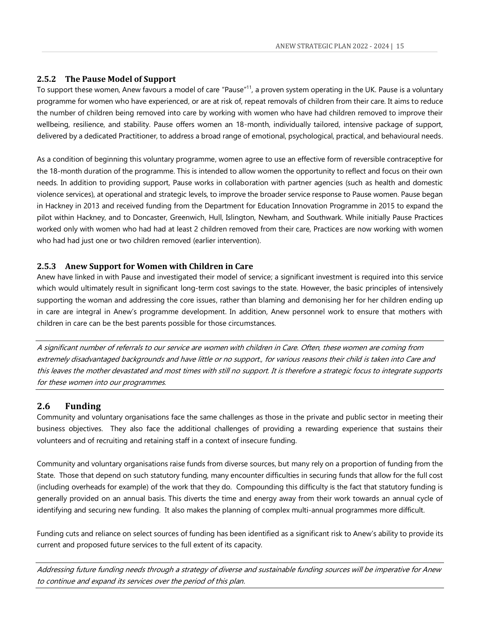#### <span id="page-15-0"></span>**2.5.2 The Pause Model of Support**

To support these women, Anew favours a model of care "Pause"<sup>11</sup>, a proven system operating in the UK. Pause is a voluntary programme for women who have experienced, or are at risk of, repeat removals of children from their care. It aims to reduce the number of children being removed into care by working with women who have had children removed to improve their wellbeing, resilience, and stability. Pause offers women an 18-month, individually tailored, intensive package of support, delivered by a dedicated Practitioner, to address a broad range of emotional, psychological, practical, and behavioural needs.

As a condition of beginning this voluntary programme, women agree to use an effective form of reversible contraceptive for the 18-month duration of the programme. This is intended to allow women the opportunity to reflect and focus on their own needs. In addition to providing support, Pause works in collaboration with partner agencies (such as health and domestic violence services), at operational and strategic levels, to improve the broader service response to Pause women. Pause began in Hackney in 2013 and received funding from the Department for Education Innovation Programme in 2015 to expand the pilot within Hackney, and to Doncaster, Greenwich, Hull, Islington, Newham, and Southwark. While initially Pause Practices worked only with women who had had at least 2 children removed from their care, Practices are now working with women who had had just one or two children removed (earlier intervention).

#### <span id="page-15-1"></span>**2.5.3 Anew Support for Women with Children in Care**

Anew have linked in with Pause and investigated their model of service; a significant investment is required into this service which would ultimately result in significant long-term cost savings to the state. However, the basic principles of intensively supporting the woman and addressing the core issues, rather than blaming and demonising her for her children ending up in care are integral in Anew's programme development. In addition, Anew personnel work to ensure that mothers with children in care can be the best parents possible for those circumstances.

A significant number of referrals to our service are women with children in Care. Often, these women are coming from extremely disadvantaged backgrounds and have little or no support., for various reasons their child is taken into Care and this leaves the mother devastated and most times with still no support. It is therefore a strategic focus to integrate supports for these women into our programmes.

#### <span id="page-15-2"></span>**2.6 Funding**

Community and voluntary organisations face the same challenges as those in the private and public sector in meeting their business objectives. They also face the additional challenges of providing a rewarding experience that sustains their volunteers and of recruiting and retaining staff in a context of insecure funding.

Community and voluntary organisations raise funds from diverse sources, but many rely on a proportion of funding from the State. Those that depend on such statutory funding, many encounter difficulties in securing funds that allow for the full cost (including overheads for example) of the work that they do. Compounding this difficulty is the fact that statutory funding is generally provided on an annual basis. This diverts the time and energy away from their work towards an annual cycle of identifying and securing new funding. It also makes the planning of complex multi-annual programmes more difficult.

Funding cuts and reliance on select sources of funding has been identified as a significant risk to Anew's ability to provide its current and proposed future services to the full extent of its capacity.

Addressing future funding needs through a strategy of diverse and sustainable funding sources will be imperative for Anew to continue and expand its services over the period of this plan.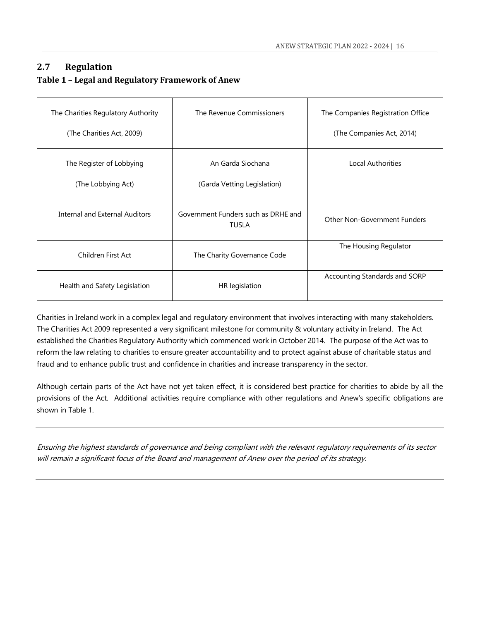#### <span id="page-16-0"></span>**2.7 Regulation**

#### <span id="page-16-1"></span>**Table 1 – Legal and Regulatory Framework of Anew**

| The Charities Regulatory Authority | The Revenue Commissioners                           | The Companies Registration Office |
|------------------------------------|-----------------------------------------------------|-----------------------------------|
| (The Charities Act, 2009)          |                                                     | (The Companies Act, 2014)         |
| The Register of Lobbying           | An Garda Siochana                                   | Local Authorities                 |
| (The Lobbying Act)                 | (Garda Vetting Legislation)                         |                                   |
| Internal and External Auditors     | Government Funders such as DRHE and<br><b>TUSLA</b> | Other Non-Government Funders      |
| Children First Act                 | The Charity Governance Code                         | The Housing Regulator             |
| Health and Safety Legislation      | HR legislation                                      | Accounting Standards and SORP     |

Charities in Ireland work in a complex legal and regulatory environment that involves interacting with many stakeholders. The Charities Act 2009 represented a very significant milestone for community & voluntary activity in Ireland. The Act established the Charities Regulatory Authority which commenced work in October 2014. The purpose of the Act was to reform the law relating to charities to ensure greater accountability and to protect against abuse of charitable status and fraud and to enhance public trust and confidence in charities and increase transparency in the sector.

Although certain parts of the Act have not yet taken effect, it is considered best practice for charities to abide by all the provisions of the Act. Additional activities require compliance with other regulations and Anew's specific obligations are shown in Table 1.

Ensuring the highest standards of governance and being compliant with the relevant regulatory requirements of its sector will remain a significant focus of the Board and management of Anew over the period of its strategy.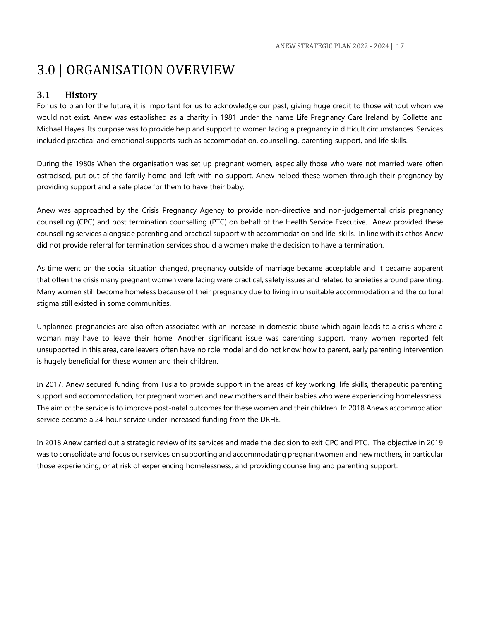## <span id="page-17-0"></span>3.0 | ORGANISATION OVERVIEW

#### <span id="page-17-1"></span>**3.1 History**

For us to plan for the future, it is important for us to acknowledge our past, giving huge credit to those without whom we would not exist. Anew was established as a charity in 1981 under the name Life Pregnancy Care Ireland by Collette and Michael Hayes. Its purpose was to provide help and support to women facing a pregnancy in difficult circumstances. Services included practical and emotional supports such as accommodation, counselling, parenting support, and life skills.

During the 1980s When the organisation was set up pregnant women, especially those who were not married were often ostracised, put out of the family home and left with no support. Anew helped these women through their pregnancy by providing support and a safe place for them to have their baby.

Anew was approached by the Crisis Pregnancy Agency to provide non-directive and non-judgemental crisis pregnancy counselling (CPC) and post termination counselling (PTC) on behalf of the Health Service Executive. Anew provided these counselling services alongside parenting and practical support with accommodation and life-skills. In line with its ethos Anew did not provide referral for termination services should a women make the decision to have a termination.

As time went on the social situation changed, pregnancy outside of marriage became acceptable and it became apparent that often the crisis many pregnant women were facing were practical, safety issues and related to anxieties around parenting. Many women still become homeless because of their pregnancy due to living in unsuitable accommodation and the cultural stigma still existed in some communities.

Unplanned pregnancies are also often associated with an increase in domestic abuse which again leads to a crisis where a woman may have to leave their home. Another significant issue was parenting support, many women reported felt unsupported in this area, care leavers often have no role model and do not know how to parent, early parenting intervention is hugely beneficial for these women and their children.

In 2017, Anew secured funding from Tusla to provide support in the areas of key working, life skills, therapeutic parenting support and accommodation, for pregnant women and new mothers and their babies who were experiencing homelessness. The aim of the service is to improve post-natal outcomes for these women and their children. In 2018 Anews accommodation service became a 24-hour service under increased funding from the DRHE.

In 2018 Anew carried out a strategic review of its services and made the decision to exit CPC and PTC. The objective in 2019 was to consolidate and focus our services on supporting and accommodating pregnant women and new mothers, in particular those experiencing, or at risk of experiencing homelessness, and providing counselling and parenting support.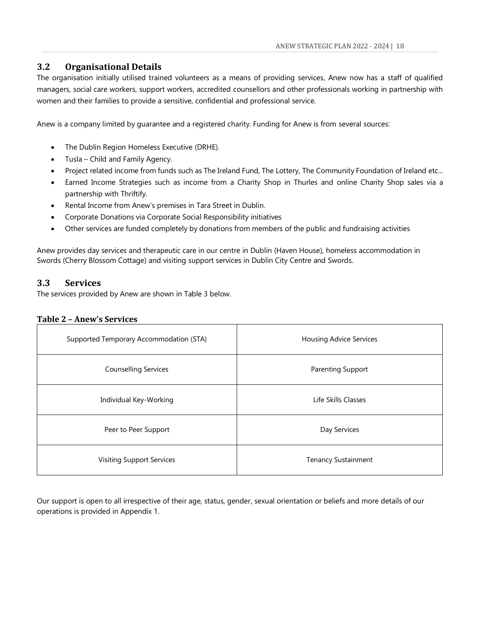#### <span id="page-18-0"></span>**3.2 Organisational Details**

The organisation initially utilised trained volunteers as a means of providing services, Anew now has a staff of qualified managers, social care workers, support workers, accredited counsellors and other professionals working in partnership with women and their families to provide a sensitive, confidential and professional service.

Anew is a company limited by guarantee and a registered charity. Funding for Anew is from several sources:

- The Dublin Region Homeless Executive (DRHE).
- Tusla Child and Family Agency.
- Project related income from funds such as The Ireland Fund, The Lottery, The Community Foundation of Ireland etc...
- Earned Income Strategies such as income from a Charity Shop in Thurles and online Charity Shop sales via a partnership with Thriftify.
- Rental Income from Anew's premises in Tara Street in Dublin.
- Corporate Donations via Corporate Social Responsibility initiatives
- Other services are funded completely by donations from members of the public and fundraising activities

Anew provides day services and therapeutic care in our centre in Dublin (Haven House), homeless accommodation in Swords (Cherry Blossom Cottage) and visiting support services in Dublin City Centre and Swords.

#### <span id="page-18-1"></span>**3.3 Services**

The services provided by Anew are shown in Table 3 below.

#### <span id="page-18-2"></span>**Table 2 – Anew's Services**

| Supported Temporary Accommodation (STA) | <b>Housing Advice Services</b> |
|-----------------------------------------|--------------------------------|
| <b>Counselling Services</b>             | Parenting Support              |
| Individual Key-Working                  | Life Skills Classes            |
| Peer to Peer Support                    | Day Services                   |
| <b>Visiting Support Services</b>        | <b>Tenancy Sustainment</b>     |

Our support is open to all irrespective of their age, status, gender, sexual orientation or beliefs and more details of our operations is provided in Appendix 1.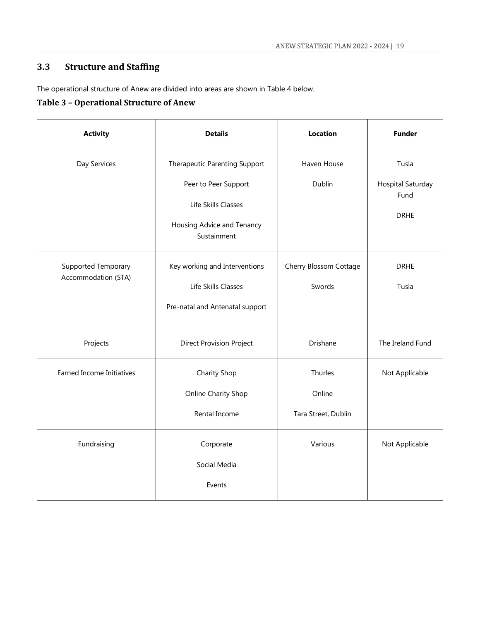## <span id="page-19-0"></span>**3.3 Structure and Staffing**

The operational structure of Anew are divided into areas are shown in Table 4 below.

#### <span id="page-19-1"></span>**Table 3 – Operational Structure of Anew**

| <b>Activity</b><br><b>Details</b>                                                                                                            |                                                                                                                           | <b>Location</b>                          | <b>Funder</b>                                     |
|----------------------------------------------------------------------------------------------------------------------------------------------|---------------------------------------------------------------------------------------------------------------------------|------------------------------------------|---------------------------------------------------|
| Day Services                                                                                                                                 | Therapeutic Parenting Support<br>Peer to Peer Support<br>Life Skills Classes<br>Housing Advice and Tenancy<br>Sustainment | Haven House<br>Dublin                    | Tusla<br>Hospital Saturday<br>Fund<br><b>DRHE</b> |
| Key working and Interventions<br><b>Supported Temporary</b><br>Accommodation (STA)<br>Life Skills Classes<br>Pre-natal and Antenatal support |                                                                                                                           | Cherry Blossom Cottage<br>Swords         | <b>DRHE</b><br>Tusla                              |
| Projects                                                                                                                                     | <b>Direct Provision Project</b>                                                                                           | Drishane                                 | The Ireland Fund                                  |
| <b>Earned Income Initiatives</b>                                                                                                             | Charity Shop<br>Online Charity Shop<br>Rental Income                                                                      | Thurles<br>Online<br>Tara Street, Dublin | Not Applicable                                    |
| Fundraising                                                                                                                                  | Corporate<br>Social Media<br>Events                                                                                       | Various                                  | Not Applicable                                    |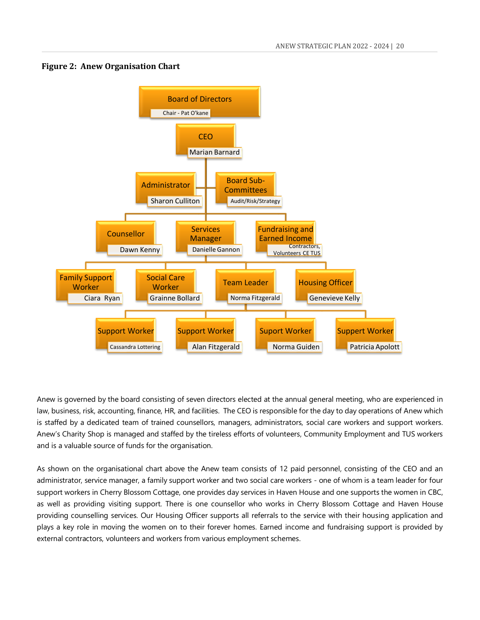#### <span id="page-20-0"></span>**Figure 2: Anew Organisation Chart**



Anew is governed by the board consisting of seven directors elected at the annual general meeting, who are experienced in law, business, risk, accounting, finance, HR, and facilities. The CEO is responsible for the day to day operations of Anew which is staffed by a dedicated team of trained counsellors, managers, administrators, social care workers and support workers. Anew's Charity Shop is managed and staffed by the tireless efforts of volunteers, Community Employment and TUS workers and is a valuable source of funds for the organisation.

As shown on the organisational chart above the Anew team consists of 12 paid personnel, consisting of the CEO and an administrator, service manager, a family support worker and two social care workers - one of whom is a team leader for four support workers in Cherry Blossom Cottage, one provides day services in Haven House and one supports the women in CBC, as well as providing visiting support. There is one counsellor who works in Cherry Blossom Cottage and Haven House providing counselling services. Our Housing Officer supports all referrals to the service with their housing application and plays a key role in moving the women on to their forever homes. Earned income and fundraising support is provided by external contractors, volunteers and workers from various employment schemes.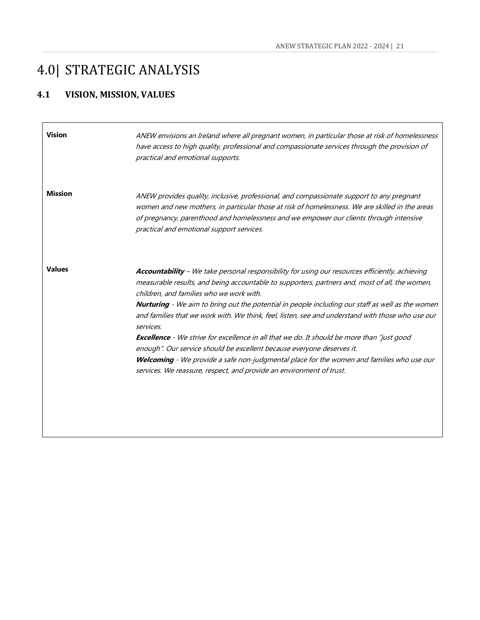## <span id="page-21-0"></span>4.0| STRATEGIC ANALYSIS

## <span id="page-21-1"></span>**4.1 VISION, MISSION, VALUES**

| <b>Vision</b>  | ANEW envisions an Ireland where all pregnant women, in particular those at risk of homelessness<br>have access to high quality, professional and compassionate services through the provision of<br>practical and emotional supports.                                                                                                                                                                                                                                                                                                                                                                                                                                                                                                                                                                                          |
|----------------|--------------------------------------------------------------------------------------------------------------------------------------------------------------------------------------------------------------------------------------------------------------------------------------------------------------------------------------------------------------------------------------------------------------------------------------------------------------------------------------------------------------------------------------------------------------------------------------------------------------------------------------------------------------------------------------------------------------------------------------------------------------------------------------------------------------------------------|
| <b>Mission</b> | ANEW provides quality, inclusive, professional, and compassionate support to any pregnant<br>women and new mothers, in particular those at risk of homelessness. We are skilled in the areas<br>of pregnancy, parenthood and homelessness and we empower our clients through intensive<br>practical and emotional support services.                                                                                                                                                                                                                                                                                                                                                                                                                                                                                            |
| <b>Values</b>  | Accountability - We take personal responsibility for using our resources efficiently, achieving<br>measurable results, and being accountable to supporters, partners and, most of all, the women,<br>children, and families who we work with.<br><b>Nurturing</b> - We aim to bring out the potential in people including our staff as well as the women<br>and families that we work with. We think, feel, listen, see and understand with those who use our<br>services.<br><b>Excellence</b> - We strive for excellence in all that we do. It should be more than "just good<br>enough". Our service should be excellent because everyone deserves it.<br>Welcoming - We provide a safe non-judgmental place for the women and families who use our<br>services. We reassure, respect, and provide an environment of trust. |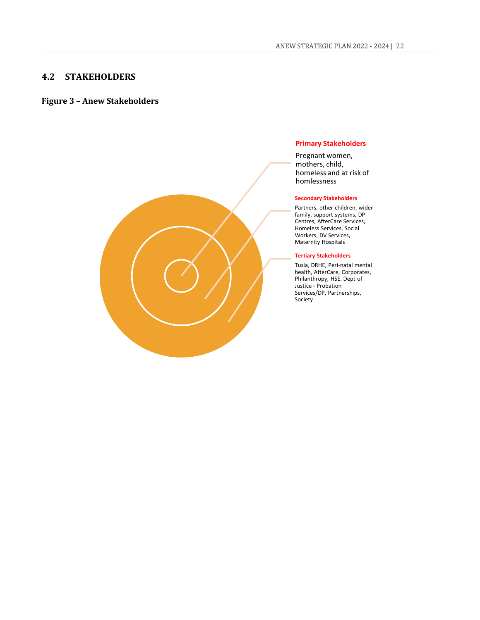#### <span id="page-22-0"></span>**4.2 STAKEHOLDERS**

#### <span id="page-22-1"></span>**Figure 3 – Anew Stakeholders**

#### **Primary Stakeholders**

Pregnant women, mothers, child, homeless and at risk of homlessness

#### **Secondary Stakeholders**

Partners, other children, wider family, support systems, DP Centres, AfterCare Services, Homeless Services, Social Workers, DV Services, Maternity Hospitals

#### **Tertiary Stakeholders**

Tusla, DRHE, Peri-natal mental health, AfterCare, Corporates, Philanthropy, HSE. Dept of Justice - Probation Services/DP, Partnerships, Society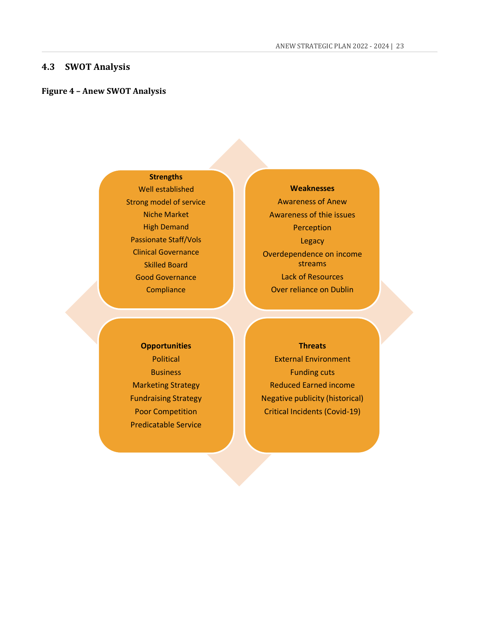<span id="page-23-1"></span><span id="page-23-0"></span>**Strengths** Well established Strong model of service Niche Market High Demand Passionate Staff/Vols Clinical Governance Skilled Board Good Governance **Compliance** 

## **Weaknesses** Awareness of Anew Awareness of thie issues Perception Legacy Overdependence on income streams Lack of Resources Over reliance on Dublin

**Opportunities** Political **Business** Marketing Strategy Fundraising Strategy Poor Competition Predicatable Service

#### **Threats**

External Environment Funding cuts Reduced Earned income Negative publicity (historical) Critical Incidents (Covid-19)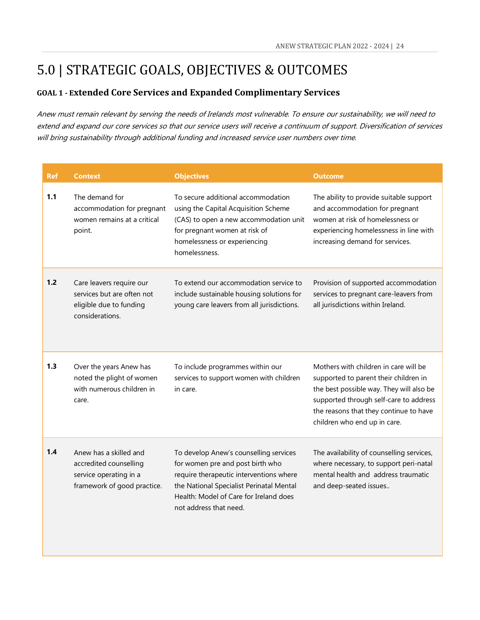## <span id="page-24-0"></span>5.0 | STRATEGIC GOALS, OBJECTIVES & OUTCOMES

### <span id="page-24-1"></span>**GOAL 1 - Extended Core Services and Expanded Complimentary Services**

Anew must remain relevant by serving the needs of Irelands most vulnerable. To ensure our sustainability, we will need to extend and expand our core services so that our service users will receive a continuum of support. Diversification of services will bring sustainability through additional funding and increased service user numbers over time.

| <b>Ref</b> | <b>Context</b>                                                                                            | <b>Objectives</b>                                                                                                                                                                                                                     | <b>Outcome</b>                                                                                                                                                                                                                                 |
|------------|-----------------------------------------------------------------------------------------------------------|---------------------------------------------------------------------------------------------------------------------------------------------------------------------------------------------------------------------------------------|------------------------------------------------------------------------------------------------------------------------------------------------------------------------------------------------------------------------------------------------|
| 1.1        | The demand for<br>accommodation for pregnant<br>women remains at a critical<br>point.                     | To secure additional accommodation<br>using the Capital Acquisition Scheme<br>(CAS) to open a new accommodation unit<br>for pregnant women at risk of<br>homelessness or experiencing<br>homelessness.                                | The ability to provide suitable support<br>and accommodation for pregnant<br>women at risk of homelessness or<br>experiencing homelessness in line with<br>increasing demand for services.                                                     |
| 1.2        | Care leavers require our<br>services but are often not<br>eligible due to funding<br>considerations.      | To extend our accommodation service to<br>include sustainable housing solutions for<br>young care leavers from all jurisdictions.                                                                                                     | Provision of supported accommodation<br>services to pregnant care-leavers from<br>all jurisdictions within Ireland.                                                                                                                            |
| 1.3        | Over the years Anew has<br>noted the plight of women<br>with numerous children in<br>care.                | To include programmes within our<br>services to support women with children<br>in care.                                                                                                                                               | Mothers with children in care will be<br>supported to parent their children in<br>the best possible way. They will also be<br>supported through self-care to address<br>the reasons that they continue to have<br>children who end up in care. |
| 1.4        | Anew has a skilled and<br>accredited counselling<br>service operating in a<br>framework of good practice. | To develop Anew's counselling services<br>for women pre and post birth who<br>require therapeutic interventions where<br>the National Specialist Perinatal Mental<br>Health: Model of Care for Ireland does<br>not address that need. | The availability of counselling services,<br>where necessary, to support peri-natal<br>mental health and address traumatic<br>and deep-seated issues                                                                                           |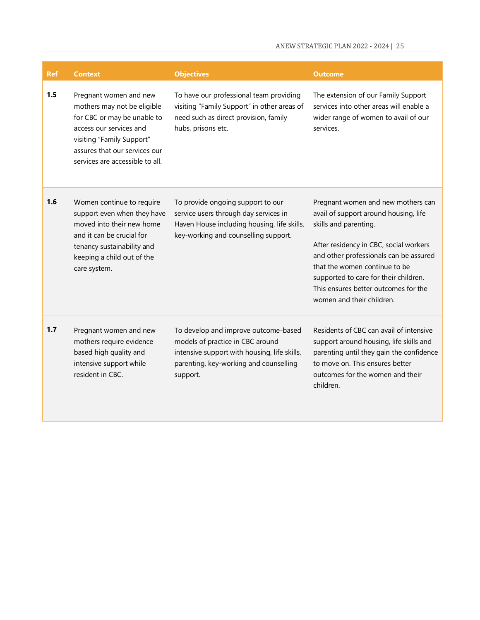| <b>Ref</b> | <b>Context</b>                                                                                                                                                                                                   | <b>Objectives</b>                                                                                                                                                              | <b>Outcome</b>                                                                                                                                                                                                                                                                                                                          |
|------------|------------------------------------------------------------------------------------------------------------------------------------------------------------------------------------------------------------------|--------------------------------------------------------------------------------------------------------------------------------------------------------------------------------|-----------------------------------------------------------------------------------------------------------------------------------------------------------------------------------------------------------------------------------------------------------------------------------------------------------------------------------------|
| 1.5        | Pregnant women and new<br>mothers may not be eligible<br>for CBC or may be unable to<br>access our services and<br>visiting "Family Support"<br>assures that our services our<br>services are accessible to all. | To have our professional team providing<br>visiting "Family Support" in other areas of<br>need such as direct provision, family<br>hubs, prisons etc.                          | The extension of our Family Support<br>services into other areas will enable a<br>wider range of women to avail of our<br>services.                                                                                                                                                                                                     |
| 1.6        | Women continue to require<br>support even when they have<br>moved into their new home<br>and it can be crucial for<br>tenancy sustainability and<br>keeping a child out of the<br>care system.                   | To provide ongoing support to our<br>service users through day services in<br>Haven House including housing, life skills,<br>key-working and counselling support.              | Pregnant women and new mothers can<br>avail of support around housing, life<br>skills and parenting.<br>After residency in CBC, social workers<br>and other professionals can be assured<br>that the women continue to be<br>supported to care for their children.<br>This ensures better outcomes for the<br>women and their children. |
| 1.7        | Pregnant women and new<br>mothers require evidence<br>based high quality and<br>intensive support while<br>resident in CBC.                                                                                      | To develop and improve outcome-based<br>models of practice in CBC around<br>intensive support with housing, life skills,<br>parenting, key-working and counselling<br>support. | Residents of CBC can avail of intensive<br>support around housing, life skills and<br>parenting until they gain the confidence<br>to move on. This ensures better<br>outcomes for the women and their<br>children.                                                                                                                      |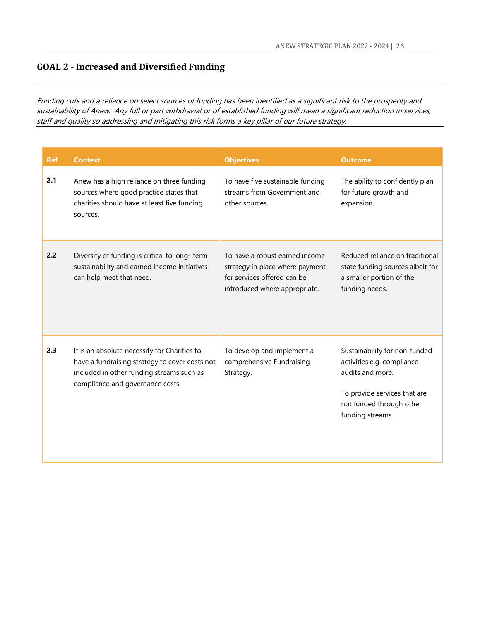### <span id="page-26-0"></span>**GOAL 2 - Increased and Diversified Funding**

Funding cuts and a reliance on select sources of funding has been identified as a significant risk to the prosperity and sustainability of Anew. Any full or part withdrawal or of established funding will mean a significant reduction in services, staff and quality so addressing and mitigating this risk forms a key pillar of our future strategy.

| <b>Ref</b> | <b>Context</b>                                                                                                                                                                 | <b>Objectives</b>                                                                                                                 | <b>Outcome</b>                                                                                                                                                  |
|------------|--------------------------------------------------------------------------------------------------------------------------------------------------------------------------------|-----------------------------------------------------------------------------------------------------------------------------------|-----------------------------------------------------------------------------------------------------------------------------------------------------------------|
| 2.1        | Anew has a high reliance on three funding<br>sources where good practice states that<br>charities should have at least five funding<br>sources.                                | To have five sustainable funding<br>streams from Government and<br>other sources.                                                 | The ability to confidently plan<br>for future growth and<br>expansion.                                                                                          |
| 2.2        | Diversity of funding is critical to long-term<br>sustainability and earned income initiatives<br>can help meet that need.                                                      | To have a robust earned income<br>strategy in place where payment<br>for services offered can be<br>introduced where appropriate. | Reduced reliance on traditional<br>state funding sources albeit for<br>a smaller portion of the<br>funding needs.                                               |
| 2.3        | It is an absolute necessity for Charities to<br>have a fundraising strategy to cover costs not<br>included in other funding streams such as<br>compliance and governance costs | To develop and implement a<br>comprehensive Fundraising<br>Strategy.                                                              | Sustainability for non-funded<br>activities e.g. compliance<br>audits and more.<br>To provide services that are<br>not funded through other<br>funding streams. |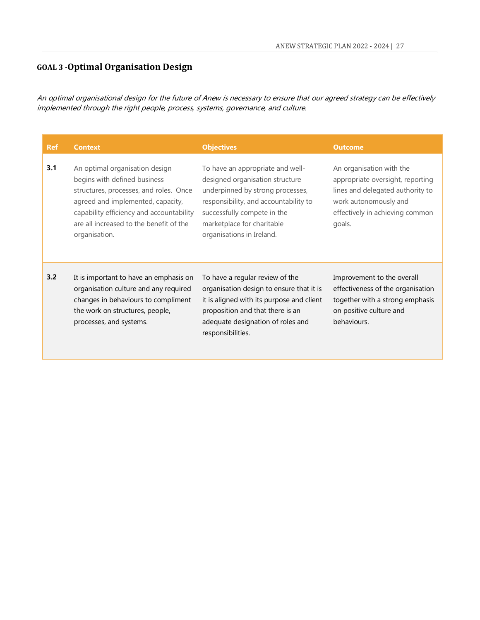### <span id="page-27-0"></span>**GOAL 3 -Optimal Organisation Design**

An optimal organisational design for the future of Anew is necessary to ensure that our agreed strategy can be effectively implemented through the right people, process, systems, governance, and culture.

| <b>Ref</b> | <b>Context</b>                                                                                                                                                                                                                                        | <b>Objectives</b>                                                                                                                                                                                                                          | <b>Outcome</b>                                                                                                                                                         |
|------------|-------------------------------------------------------------------------------------------------------------------------------------------------------------------------------------------------------------------------------------------------------|--------------------------------------------------------------------------------------------------------------------------------------------------------------------------------------------------------------------------------------------|------------------------------------------------------------------------------------------------------------------------------------------------------------------------|
| 3.1        | An optimal organisation design<br>begins with defined business<br>structures, processes, and roles. Once<br>agreed and implemented, capacity,<br>capability efficiency and accountability<br>are all increased to the benefit of the<br>organisation. | To have an appropriate and well-<br>designed organisation structure<br>underpinned by strong processes,<br>responsibility, and accountability to<br>successfully compete in the<br>marketplace for charitable<br>organisations in Ireland. | An organisation with the<br>appropriate oversight, reporting<br>lines and delegated authority to<br>work autonomously and<br>effectively in achieving common<br>goals. |
| 3.2        | It is important to have an emphasis on<br>organisation culture and any required<br>changes in behaviours to compliment<br>the work on structures, people,<br>processes, and systems.                                                                  | To have a regular review of the<br>organisation design to ensure that it is<br>it is aligned with its purpose and client<br>proposition and that there is an<br>adequate designation of roles and<br>responsibilities.                     | Improvement to the overall<br>effectiveness of the organisation<br>together with a strong emphasis<br>on positive culture and<br>behaviours.                           |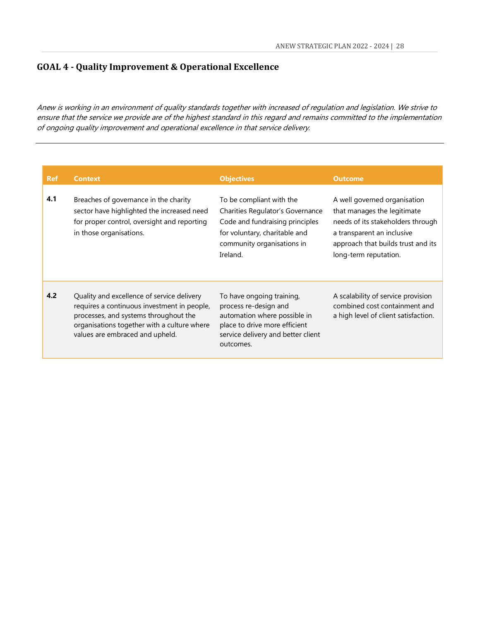### <span id="page-28-0"></span>**GOAL 4 - Quality Improvement & Operational Excellence**

Anew is working in an environment of quality standards together with increased of regulation and legislation. We strive to ensure that the service we provide are of the highest standard in this regard and remains committed to the implementation of ongoing quality improvement and operational excellence in that service delivery.

| <b>Ref</b> | <b>Context</b>                                                                                                                                                                                                       | <b>Objectives</b>                                                                                                                                                          | <b>Outcome</b>                                                                                                                                                                                |
|------------|----------------------------------------------------------------------------------------------------------------------------------------------------------------------------------------------------------------------|----------------------------------------------------------------------------------------------------------------------------------------------------------------------------|-----------------------------------------------------------------------------------------------------------------------------------------------------------------------------------------------|
| 4.1        | Breaches of governance in the charity<br>sector have highlighted the increased need<br>for proper control, oversight and reporting<br>in those organisations.                                                        | To be compliant with the<br>Charities Regulator's Governance<br>Code and fundraising principles<br>for voluntary, charitable and<br>community organisations in<br>Ireland. | A well governed organisation<br>that manages the legitimate<br>needs of its stakeholders through<br>a transparent an inclusive<br>approach that builds trust and its<br>long-term reputation. |
| 4.2        | Quality and excellence of service delivery<br>requires a continuous investment in people,<br>processes, and systems throughout the<br>organisations together with a culture where<br>values are embraced and upheld. | To have ongoing training,<br>process re-design and<br>automation where possible in<br>place to drive more efficient<br>service delivery and better client<br>outcomes.     | A scalability of service provision<br>combined cost containment and<br>a high level of client satisfaction.                                                                                   |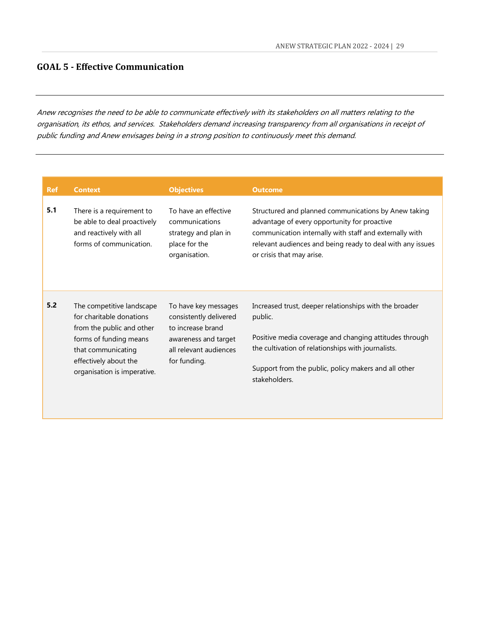#### <span id="page-29-0"></span>**GOAL 5 - Effective Communication**

Anew recognises the need to be able to communicate effectively with its stakeholders on all matters relating to the organisation, its ethos, and services. Stakeholders demand increasing transparency from all organisations in receipt of public funding and Anew envisages being in a strong position to continuously meet this demand.

| <b>Ref</b> | <b>Context</b>                                                                                                                                                                             | <b>Objectives</b>                                                                                                                     | <b>Outcome</b>                                                                                                                                                                                                                                             |
|------------|--------------------------------------------------------------------------------------------------------------------------------------------------------------------------------------------|---------------------------------------------------------------------------------------------------------------------------------------|------------------------------------------------------------------------------------------------------------------------------------------------------------------------------------------------------------------------------------------------------------|
| 5.1        | There is a requirement to<br>be able to deal proactively<br>and reactively with all<br>forms of communication.                                                                             | To have an effective<br>communications<br>strategy and plan in<br>place for the<br>organisation.                                      | Structured and planned communications by Anew taking<br>advantage of every opportunity for proactive<br>communication internally with staff and externally with<br>relevant audiences and being ready to deal with any issues<br>or crisis that may arise. |
| 5.2        | The competitive landscape<br>for charitable donations<br>from the public and other<br>forms of funding means<br>that communicating<br>effectively about the<br>organisation is imperative. | To have key messages<br>consistently delivered<br>to increase brand<br>awareness and target<br>all relevant audiences<br>for funding. | Increased trust, deeper relationships with the broader<br>public.<br>Positive media coverage and changing attitudes through<br>the cultivation of relationships with journalists.<br>Support from the public, policy makers and all other<br>stakeholders. |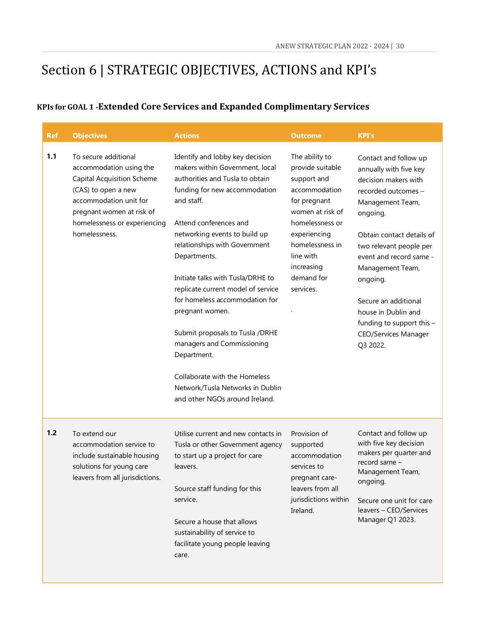## <span id="page-30-0"></span>Section 6 | STRATEGIC OBJECTIVES, ACTIONS and KPI's

### <span id="page-30-1"></span>**KPIs for GOAL 1 -Extended Core Services and Expanded Complimentary Services**

| <b>Ref</b> | <b>Objectives</b>                                                                                                                                                                                                   | <b>Actions</b>                                                                                                                                                                                                                                                                                                                                                                                                                                                                                                                                                                          | <b>Outcome</b>                                                                                                                                                                                                     | <b>KPI's</b>                                                                                                                                                                                                                                                                                                                                                             |
|------------|---------------------------------------------------------------------------------------------------------------------------------------------------------------------------------------------------------------------|-----------------------------------------------------------------------------------------------------------------------------------------------------------------------------------------------------------------------------------------------------------------------------------------------------------------------------------------------------------------------------------------------------------------------------------------------------------------------------------------------------------------------------------------------------------------------------------------|--------------------------------------------------------------------------------------------------------------------------------------------------------------------------------------------------------------------|--------------------------------------------------------------------------------------------------------------------------------------------------------------------------------------------------------------------------------------------------------------------------------------------------------------------------------------------------------------------------|
| 1.1        | To secure additional<br>accommodation using the<br><b>Capital Acquisition Scheme</b><br>(CAS) to open a new<br>accommodation unit for<br>pregnant women at risk of<br>homelessness or experiencing<br>homelessness. | Identify and lobby key decision<br>makers within Government, local<br>authorities and Tusla to obtain<br>funding for new accommodation<br>and staff.<br>Attend conferences and<br>networking events to build up<br>relationships with Government<br>Departments.<br>Initiate talks with Tusla/DRHE to<br>replicate current model of service<br>for homeless accommodation for<br>pregnant women.<br>Submit proposals to Tusla /DRHE<br>managers and Commissioning<br>Department.<br>Collaborate with the Homeless<br>Network/Tusla Networks in Dublin<br>and other NGOs around Ireland. | The ability to<br>provide suitable<br>support and<br>accommodation<br>for pregnant<br>women at risk of<br>homelessness or<br>experiencing<br>homelessness in<br>line with<br>increasing<br>demand for<br>services. | Contact and follow up<br>annually with five key<br>decision makers with<br>recorded outcomes -<br>Management Team,<br>ongoing.<br>Obtain contact details of<br>two relevant people per<br>event and record same -<br>Management Team,<br>ongoing.<br>Secure an additional<br>house in Dublin and<br>funding to support this -<br><b>CEO/Services Manager</b><br>Q3 2022. |
| $1.2$      | To extend our<br>accommodation service to<br>include sustainable housing<br>solutions for young care<br>leavers from all jurisdictions.                                                                             | Utilise current and new contacts in<br>Tusla or other Government agency<br>to start up a project for care<br>leavers.<br>Source staff funding for this<br>service.<br>Secure a house that allows<br>sustainability of service to<br>facilitate young people leaving<br>care.                                                                                                                                                                                                                                                                                                            | Provision of<br>supported<br>accommodation<br>services to<br>pregnant care-<br>leavers from all<br>jurisdictions within<br>Ireland.                                                                                | Contact and follow up<br>with five key decision<br>makers per quarter and<br>record same -<br>Management Team,<br>ongoing.<br>Secure one unit for care<br>leavers - CEO/Services<br>Manager Q1 2023.                                                                                                                                                                     |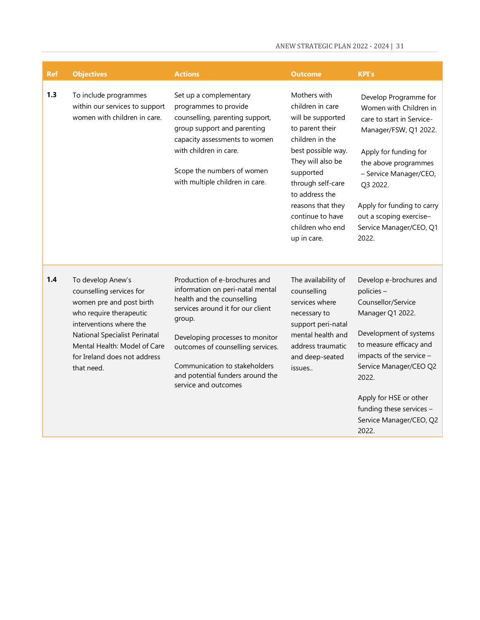| <b>Ref</b> | <b>Objectives</b>                                                                                                                                                                                                                              | <b>Actions</b>                                                                                                                                                                                                                                                                                                      | <b>Outcome</b>                                                                                                                                                                                                                                                         | <b>KPI's</b>                                                                                                                                                                                                                                                                                 |
|------------|------------------------------------------------------------------------------------------------------------------------------------------------------------------------------------------------------------------------------------------------|---------------------------------------------------------------------------------------------------------------------------------------------------------------------------------------------------------------------------------------------------------------------------------------------------------------------|------------------------------------------------------------------------------------------------------------------------------------------------------------------------------------------------------------------------------------------------------------------------|----------------------------------------------------------------------------------------------------------------------------------------------------------------------------------------------------------------------------------------------------------------------------------------------|
| 1.3        | To include programmes<br>within our services to support<br>women with children in care.                                                                                                                                                        | Set up a complementary<br>programmes to provide<br>counselling, parenting support,<br>group support and parenting<br>capacity assessments to women<br>with children in care.<br>Scope the numbers of women<br>with multiple children in care.                                                                       | Mothers with<br>children in care<br>will be supported<br>to parent their<br>children in the<br>best possible way.<br>They will also be<br>supported<br>through self-care<br>to address the<br>reasons that they<br>continue to have<br>children who end<br>up in care. | Develop Programme for<br>Women with Children in<br>care to start in Service-<br>Manager/FSW, Q1 2022.<br>Apply for funding for<br>the above programmes<br>- Service Manager/CEO,<br>Q3 2022.<br>Apply for funding to carry<br>out a scoping exercise-<br>Service Manager/CEO, Q1<br>2022.    |
| 1.4        | To develop Anew's<br>counselling services for<br>women pre and post birth<br>who require therapeutic<br>interventions where the<br>National Specialist Perinatal<br>Mental Health: Model of Care<br>for Ireland does not address<br>that need. | Production of e-brochures and<br>information on peri-natal mental<br>health and the counselling<br>services around it for our client<br>group.<br>Developing processes to monitor<br>outcomes of counselling services.<br>Communication to stakeholders<br>and potential funders around the<br>service and outcomes | The availability of<br>counselling<br>services where<br>necessary to<br>support peri-natal<br>mental health and<br>address traumatic<br>and deep-seated<br>issues                                                                                                      | Develop e-brochures and<br>policies-<br>Counsellor/Service<br>Manager Q1 2022.<br>Development of systems<br>to measure efficacy and<br>impacts of the service -<br>Service Manager/CEO Q2<br>2022.<br>Apply for HSE or other<br>funding these services -<br>Service Manager/CEO, Q2<br>2022. |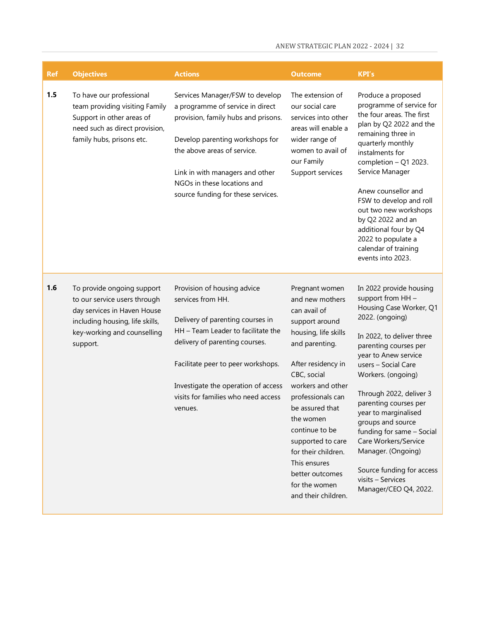| <b>Ref</b> | <b>Objectives</b>                                                                                                                                                       | <b>Actions</b>                                                                                                                                                                                                                                                                              | <b>Outcome</b>                                                                                                                                                                                                                                                                                                                                                        | <b>KPI's</b>                                                                                                                                                                                                                                                                                                                                                                                                                                                                 |
|------------|-------------------------------------------------------------------------------------------------------------------------------------------------------------------------|---------------------------------------------------------------------------------------------------------------------------------------------------------------------------------------------------------------------------------------------------------------------------------------------|-----------------------------------------------------------------------------------------------------------------------------------------------------------------------------------------------------------------------------------------------------------------------------------------------------------------------------------------------------------------------|------------------------------------------------------------------------------------------------------------------------------------------------------------------------------------------------------------------------------------------------------------------------------------------------------------------------------------------------------------------------------------------------------------------------------------------------------------------------------|
| 1.5        | To have our professional<br>team providing visiting Family<br>Support in other areas of<br>need such as direct provision,<br>family hubs, prisons etc.                  | Services Manager/FSW to develop<br>a programme of service in direct<br>provision, family hubs and prisons.<br>Develop parenting workshops for<br>the above areas of service.<br>Link in with managers and other<br>NGOs in these locations and<br>source funding for these services.        | The extension of<br>our social care<br>services into other<br>areas will enable a<br>wider range of<br>women to avail of<br>our Family<br>Support services                                                                                                                                                                                                            | Produce a proposed<br>programme of service for<br>the four areas. The first<br>plan by Q2 2022 and the<br>remaining three in<br>quarterly monthly<br>instalments for<br>completion $-$ Q1 2023.<br>Service Manager<br>Anew counsellor and<br>FSW to develop and roll<br>out two new workshops<br>by Q2 2022 and an<br>additional four by Q4<br>2022 to populate a<br>calendar of training<br>events into 2023.                                                               |
| 1.6        | To provide ongoing support<br>to our service users through<br>day services in Haven House<br>including housing, life skills,<br>key-working and counselling<br>support. | Provision of housing advice<br>services from HH.<br>Delivery of parenting courses in<br>HH - Team Leader to facilitate the<br>delivery of parenting courses.<br>Facilitate peer to peer workshops.<br>Investigate the operation of access<br>visits for families who need access<br>venues. | Pregnant women<br>and new mothers<br>can avail of<br>support around<br>housing, life skills<br>and parenting.<br>After residency in<br>CBC, social<br>workers and other<br>professionals can<br>be assured that<br>the women<br>continue to be<br>supported to care<br>for their children.<br>This ensures<br>better outcomes<br>for the women<br>and their children. | In 2022 provide housing<br>support from HH -<br>Housing Case Worker, Q1<br>2022. (ongoing)<br>In 2022, to deliver three<br>parenting courses per<br>year to Anew service<br>users - Social Care<br>Workers. (ongoing)<br>Through 2022, deliver 3<br>parenting courses per<br>year to marginalised<br>groups and source<br>funding for same - Social<br>Care Workers/Service<br>Manager. (Ongoing)<br>Source funding for access<br>visits - Services<br>Manager/CEO Q4, 2022. |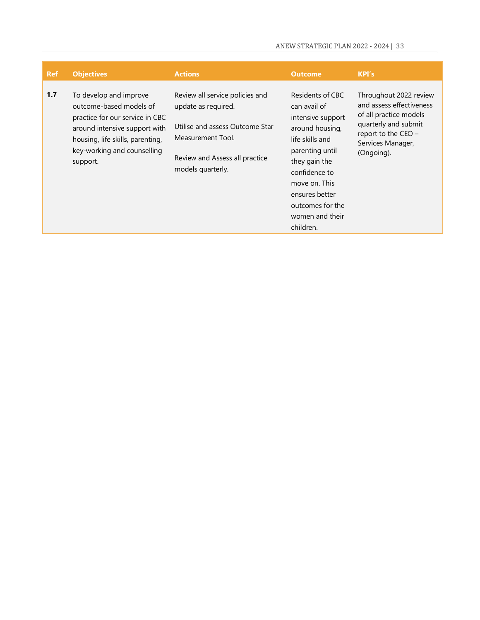| <b>Ref</b> | <b>Objectives</b>                                                                                                                                                                                    | <b>Actions</b>                                                                                                                                                        | <b>Outcome</b>                                                                                                                                                                                                                          | KPI's                                                                                                                                                            |
|------------|------------------------------------------------------------------------------------------------------------------------------------------------------------------------------------------------------|-----------------------------------------------------------------------------------------------------------------------------------------------------------------------|-----------------------------------------------------------------------------------------------------------------------------------------------------------------------------------------------------------------------------------------|------------------------------------------------------------------------------------------------------------------------------------------------------------------|
| 1.7        | To develop and improve<br>outcome-based models of<br>practice for our service in CBC<br>around intensive support with<br>housing, life skills, parenting,<br>key-working and counselling<br>support. | Review all service policies and<br>update as required.<br>Utilise and assess Outcome Star<br>Measurement Tool.<br>Review and Assess all practice<br>models quarterly. | Residents of CBC<br>can avail of<br>intensive support<br>around housing,<br>life skills and<br>parenting until<br>they gain the<br>confidence to<br>move on. This<br>ensures better<br>outcomes for the<br>women and their<br>children. | Throughout 2022 review<br>and assess effectiveness<br>of all practice models<br>quarterly and submit<br>report to the $CEO -$<br>Services Manager,<br>(Ongoing). |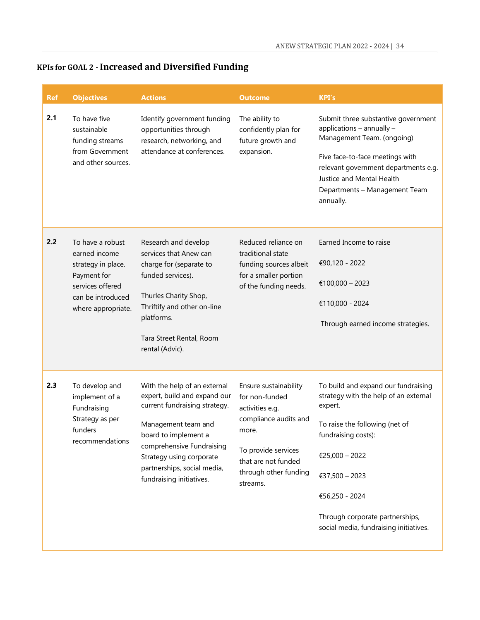## <span id="page-34-0"></span>**KPIs for GOAL 2 - Increased and Diversified Funding**

| <b>Ref</b> | <b>Objectives</b>                                                                                                                     | <b>Actions</b>                                                                                                                                                                                                                                                   | <b>Outcome</b>                                                                                                                                                                  | <b>KPI's</b>                                                                                                                                                                                                                                                                        |
|------------|---------------------------------------------------------------------------------------------------------------------------------------|------------------------------------------------------------------------------------------------------------------------------------------------------------------------------------------------------------------------------------------------------------------|---------------------------------------------------------------------------------------------------------------------------------------------------------------------------------|-------------------------------------------------------------------------------------------------------------------------------------------------------------------------------------------------------------------------------------------------------------------------------------|
| 2.1        | To have five<br>sustainable<br>funding streams<br>from Government<br>and other sources.                                               | Identify government funding<br>opportunities through<br>research, networking, and<br>attendance at conferences.                                                                                                                                                  | The ability to<br>confidently plan for<br>future growth and<br>expansion.                                                                                                       | Submit three substantive government<br>applications - annually -<br>Management Team. (ongoing)<br>Five face-to-face meetings with<br>relevant government departments e.g.<br>Justice and Mental Health<br>Departments - Management Team<br>annually.                                |
| 2.2        | To have a robust<br>earned income<br>strategy in place.<br>Payment for<br>services offered<br>can be introduced<br>where appropriate. | Research and develop<br>services that Anew can<br>charge for (separate to<br>funded services).<br>Thurles Charity Shop,<br>Thriftify and other on-line<br>platforms.<br>Tara Street Rental, Room<br>rental (Advic).                                              | Reduced reliance on<br>traditional state<br>funding sources albeit<br>for a smaller portion<br>of the funding needs.                                                            | Earned Income to raise<br>€90,120 - 2022<br>€100,000 - 2023<br>€110,000 - 2024<br>Through earned income strategies.                                                                                                                                                                 |
| 2.3        | To develop and<br>implement of a<br>Fundraising<br>Strategy as per<br>funders<br>recommendations                                      | With the help of an external<br>expert, build and expand our<br>current fundraising strategy.<br>Management team and<br>board to implement a<br>comprehensive Fundraising<br>Strategy using corporate<br>partnerships, social media,<br>fundraising initiatives. | Ensure sustainability<br>for non-funded<br>activities e.g.<br>compliance audits and<br>more.<br>To provide services<br>that are not funded<br>through other funding<br>streams. | To build and expand our fundraising<br>strategy with the help of an external<br>expert.<br>To raise the following (net of<br>fundraising costs):<br>€25,000 - 2022<br>€37,500 - 2023<br>€56,250 - 2024<br>Through corporate partnerships,<br>social media, fundraising initiatives. |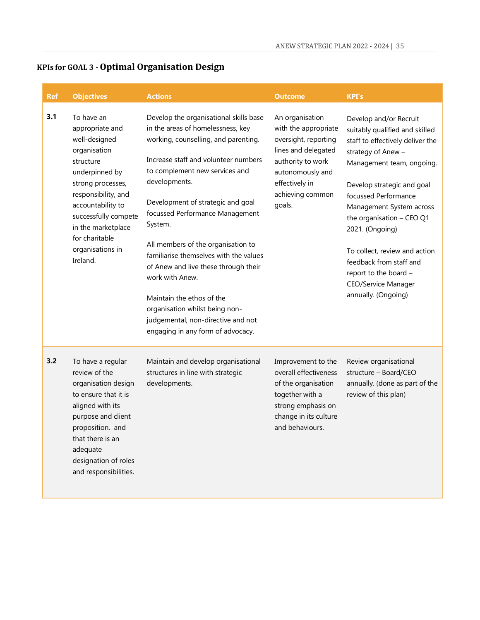## <span id="page-35-0"></span>**KPIs for GOAL 3 - Optimal Organisation Design**

| <b>Ref</b> | <b>Objectives</b>                                                                                                                                                                                                                                              | <b>Actions</b>                                                                                                                                                                                                                                                                                                                                                                                                                                                                                                                                                                         | <b>Outcome</b>                                                                                                                                                                  | <b>KPI's</b>                                                                                                                                                                                                                                                                                                                                                                                                         |
|------------|----------------------------------------------------------------------------------------------------------------------------------------------------------------------------------------------------------------------------------------------------------------|----------------------------------------------------------------------------------------------------------------------------------------------------------------------------------------------------------------------------------------------------------------------------------------------------------------------------------------------------------------------------------------------------------------------------------------------------------------------------------------------------------------------------------------------------------------------------------------|---------------------------------------------------------------------------------------------------------------------------------------------------------------------------------|----------------------------------------------------------------------------------------------------------------------------------------------------------------------------------------------------------------------------------------------------------------------------------------------------------------------------------------------------------------------------------------------------------------------|
| 3.1        | To have an<br>appropriate and<br>well-designed<br>organisation<br>structure<br>underpinned by<br>strong processes,<br>responsibility, and<br>accountability to<br>successfully compete<br>in the marketplace<br>for charitable<br>organisations in<br>Ireland. | Develop the organisational skills base<br>in the areas of homelessness, key<br>working, counselling, and parenting.<br>Increase staff and volunteer numbers<br>to complement new services and<br>developments.<br>Development of strategic and goal<br>focussed Performance Management<br>System.<br>All members of the organisation to<br>familiarise themselves with the values<br>of Anew and live these through their<br>work with Anew.<br>Maintain the ethos of the<br>organisation whilst being non-<br>judgemental, non-directive and not<br>engaging in any form of advocacy. | An organisation<br>with the appropriate<br>oversight, reporting<br>lines and delegated<br>authority to work<br>autonomously and<br>effectively in<br>achieving common<br>goals. | Develop and/or Recruit<br>suitably qualified and skilled<br>staff to effectively deliver the<br>strategy of Anew -<br>Management team, ongoing.<br>Develop strategic and goal<br>focussed Performance<br>Management System across<br>the organisation - CEO Q1<br>2021. (Ongoing)<br>To collect, review and action<br>feedback from staff and<br>report to the board -<br>CEO/Service Manager<br>annually. (Ongoing) |
| 3.2        | To have a regular<br>review of the<br>organisation design<br>to ensure that it is<br>aligned with its<br>purpose and client<br>proposition. and<br>that there is an<br>adequate<br>designation of roles<br>and responsibilities.                               | Maintain and develop organisational<br>structures in line with strategic<br>developments.                                                                                                                                                                                                                                                                                                                                                                                                                                                                                              | Improvement to the<br>overall effectiveness<br>of the organisation<br>together with a<br>strong emphasis on<br>change in its culture<br>and behaviours.                         | Review organisational<br>structure - Board/CEO<br>annually. (done as part of the<br>review of this plan)                                                                                                                                                                                                                                                                                                             |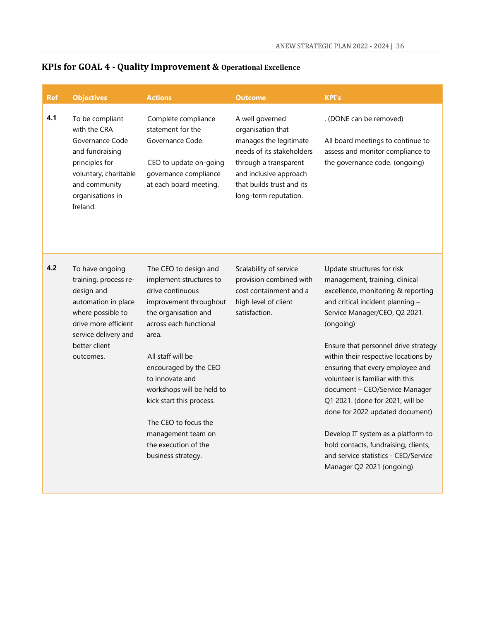| <b>Ref</b> | <b>Objectives</b>                                                                                                                                                                | <b>Actions</b>                                                                                                                                                                                                                                                                                                                                                                  | <b>Outcome</b>                                                                                                                                                                                       | <b>KPI's</b>                                                                                                                                                                                                                                                                                                                                                                                                                                                                                                                                                                                            |
|------------|----------------------------------------------------------------------------------------------------------------------------------------------------------------------------------|---------------------------------------------------------------------------------------------------------------------------------------------------------------------------------------------------------------------------------------------------------------------------------------------------------------------------------------------------------------------------------|------------------------------------------------------------------------------------------------------------------------------------------------------------------------------------------------------|---------------------------------------------------------------------------------------------------------------------------------------------------------------------------------------------------------------------------------------------------------------------------------------------------------------------------------------------------------------------------------------------------------------------------------------------------------------------------------------------------------------------------------------------------------------------------------------------------------|
| 4.1        | To be compliant<br>with the CRA<br>Governance Code<br>and fundraising<br>principles for<br>voluntary, charitable<br>and community<br>organisations in<br>Ireland.                | Complete compliance<br>statement for the<br>Governance Code.<br>CEO to update on-going<br>governance compliance<br>at each board meeting.                                                                                                                                                                                                                                       | A well governed<br>organisation that<br>manages the legitimate<br>needs of its stakeholders<br>through a transparent<br>and inclusive approach<br>that builds trust and its<br>long-term reputation. | . (DONE can be removed)<br>All board meetings to continue to<br>assess and monitor compliance to<br>the governance code. (ongoing)                                                                                                                                                                                                                                                                                                                                                                                                                                                                      |
| 4.2        | To have ongoing<br>training, process re-<br>design and<br>automation in place<br>where possible to<br>drive more efficient<br>service delivery and<br>better client<br>outcomes. | The CEO to design and<br>implement structures to<br>drive continuous<br>improvement throughout<br>the organisation and<br>across each functional<br>area.<br>All staff will be<br>encouraged by the CEO<br>to innovate and<br>workshops will be held to<br>kick start this process.<br>The CEO to focus the<br>management team on<br>the execution of the<br>business strategy. | Scalability of service<br>provision combined with<br>cost containment and a<br>high level of client<br>satisfaction.                                                                                 | Update structures for risk<br>management, training, clinical<br>excellence, monitoring & reporting<br>and critical incident planning -<br>Service Manager/CEO, Q2 2021.<br>(ongoing)<br>Ensure that personnel drive strategy<br>within their respective locations by<br>ensuring that every employee and<br>volunteer is familiar with this<br>document - CEO/Service Manager<br>Q1 2021. (done for 2021, will be<br>done for 2022 updated document)<br>Develop IT system as a platform to<br>hold contacts, fundraising, clients,<br>and service statistics - CEO/Service<br>Manager Q2 2021 (ongoing) |

## <span id="page-36-0"></span>**KPIs for GOAL 4 - Quality Improvement & Operational Excellence**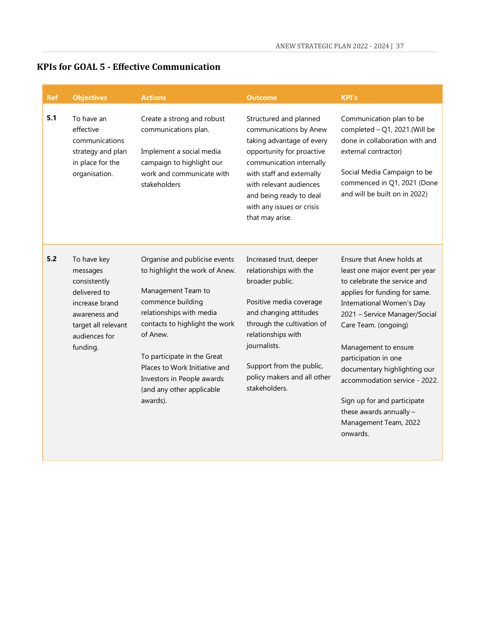## <span id="page-37-0"></span>**KPIs for GOAL 5 - Effective Communication**

| <b>Ref</b> | <b>Objectives</b>                                                                                                                              | <b>Actions</b>                                                                                                                                                                                                                                                                                                              | <b>Outcome</b>                                                                                                                                                                                                                                                            | <b>KPI's</b>                                                                                                                                                                                                                                                                                                                                                                                                                       |
|------------|------------------------------------------------------------------------------------------------------------------------------------------------|-----------------------------------------------------------------------------------------------------------------------------------------------------------------------------------------------------------------------------------------------------------------------------------------------------------------------------|---------------------------------------------------------------------------------------------------------------------------------------------------------------------------------------------------------------------------------------------------------------------------|------------------------------------------------------------------------------------------------------------------------------------------------------------------------------------------------------------------------------------------------------------------------------------------------------------------------------------------------------------------------------------------------------------------------------------|
| 5.1        | To have an<br>effective<br>communications<br>strategy and plan<br>in place for the<br>organisation.                                            | Create a strong and robust<br>communications plan.<br>Implement a social media<br>campaign to highlight our<br>work and communicate with<br>stakeholders                                                                                                                                                                    | Structured and planned<br>communications by Anew<br>taking advantage of every<br>opportunity for proactive<br>communication internally<br>with staff and externally<br>with relevant audiences<br>and being ready to deal<br>with any issues or crisis<br>that may arise. | Communication plan to be<br>completed $-Q1$ , 2021.(Will be<br>done in collaboration with and<br>external contractor)<br>Social Media Campaign to be<br>commenced in Q1, 2021 (Done<br>and will be built on in 2022)                                                                                                                                                                                                               |
| 5.2        | To have key<br>messages<br>consistently<br>delivered to<br>increase brand<br>awareness and<br>target all relevant<br>audiences for<br>funding. | Organise and publicise events<br>to highlight the work of Anew.<br>Management Team to<br>commence building<br>relationships with media<br>contacts to highlight the work<br>of Anew.<br>To participate in the Great<br>Places to Work Initiative and<br>Investors in People awards<br>(and any other applicable<br>awards). | Increased trust, deeper<br>relationships with the<br>broader public.<br>Positive media coverage<br>and changing attitudes<br>through the cultivation of<br>relationships with<br>journalists.<br>Support from the public,<br>policy makers and all other<br>stakeholders. | Ensure that Anew holds at<br>least one major event per year<br>to celebrate the service and<br>applies for funding for same.<br>International Women's Day<br>2021 - Service Manager/Social<br>Care Team. (ongoing)<br>Management to ensure<br>participation in one<br>documentary highlighting our<br>accommodation service - 2022.<br>Sign up for and participate<br>these awards annually -<br>Management Team, 2022<br>onwards. |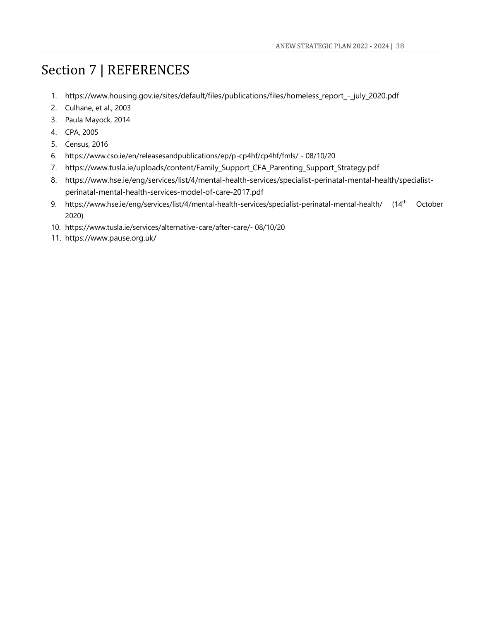## <span id="page-38-0"></span>Section 7 | REFERENCES

- 1. https://www.housing.gov.ie/sites/default/files/publications/files/homeless\_report\_-\_july\_2020.pdf
- 2. [Culhane, et al., 2003](http://www.ncbi.nlm.nih.gov/pmc/articles/PMC3383651/)
- 3. Paula Mayock, 2014
- 4. CPA, 2005
- 5. Census, 2016
- 6. <https://www.cso.ie/en/releasesandpublications/ep/p-cp4hf/cp4hf/fmls/> 08/10/20
- 7. [https://www.tusla.ie/uploads/content/Family\\_Support\\_CFA\\_Parenting\\_Support\\_Strategy.pdf](https://www.tusla.ie/uploads/content/Family_Support_CFA_Parenting_Support_Strategy.pdf)
- 8. [https://www.hse.ie/eng/services/list/4/mental-health-services/specialist-perinatal-mental-health/specialist](https://www.hse.ie/eng/services/list/4/mental-health-services/specialist-perinatal-mental-health/specialist-perinatal-mental-health-services-model-of-care-2017.pdf)[perinatal-mental-health-services-model-of-care-2017.pdf](https://www.hse.ie/eng/services/list/4/mental-health-services/specialist-perinatal-mental-health/specialist-perinatal-mental-health-services-model-of-care-2017.pdf)
- 9. <https://www.hse.ie/eng/services/list/4/mental-health-services/specialist-perinatal-mental-health/> (14th October 2020)
- 10. <https://www.tusla.ie/services/alternative-care/after-care/-> 08/10/20
- 11. https://www.pause.org.uk/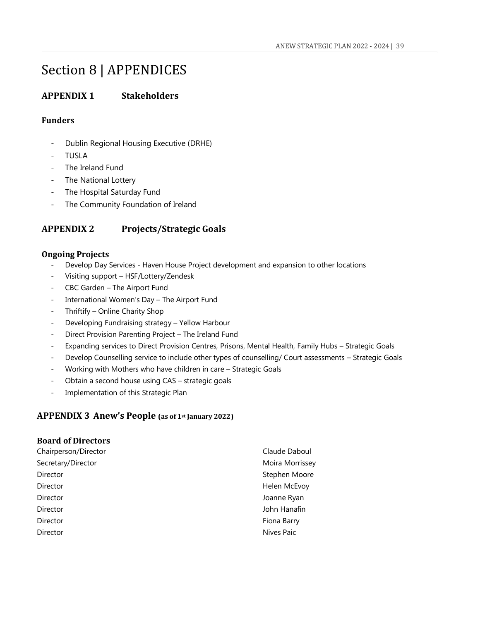## <span id="page-39-0"></span>Section 8 | APPENDICES

#### <span id="page-39-1"></span>**APPENDIX 1 Stakeholders**

#### <span id="page-39-2"></span>**Funders**

- Dublin Regional Housing Executive (DRHE)
- **TUSLA**
- The Ireland Fund
- The National Lottery
- The Hospital Saturday Fund
- The Community Foundation of Ireland

#### <span id="page-39-3"></span>**APPENDIX 2 Projects/Strategic Goals**

#### <span id="page-39-4"></span>**Ongoing Projects**

- Develop Day Services Haven House Project development and expansion to other locations
- Visiting support HSF/Lottery/Zendesk
- CBC Garden The Airport Fund
- International Women's Day The Airport Fund
- Thriftify Online Charity Shop
- Developing Fundraising strategy Yellow Harbour
- Direct Provision Parenting Project The Ireland Fund
- Expanding services to Direct Provision Centres, Prisons, Mental Health, Family Hubs Strategic Goals
- Develop Counselling service to include other types of counselling/ Court assessments Strategic Goals
- Working with Mothers who have children in care Strategic Goals
- Obtain a second house using CAS strategic goals
- Implementation of this Strategic Plan

#### <span id="page-39-5"></span>**APPENDIX 3 Anew's People (as of 1st January 2022)**

#### <span id="page-39-6"></span>**Board of Directors**

| Claude Daboul   |
|-----------------|
| Moira Morrissey |
| Stephen Moore   |
| Helen McEvoy    |
| Joanne Ryan     |
| John Hanafin    |
| Fiona Barry     |
| Nives Paic      |
|                 |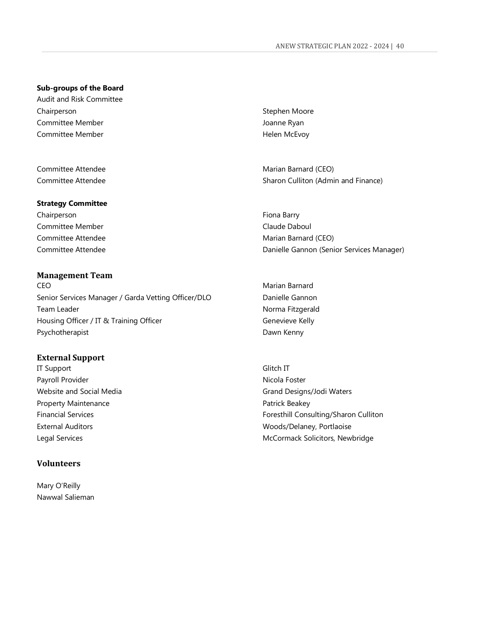#### **Sub-groups of the Board**

Audit and Risk Committee Chairperson Stephen Moore Committee Member **Joanne Ryan** Committee Member **Helen McEvoy** 

#### **Strategy Committee**

Chairperson **Fiona Barry** Committee Member **Committee Member Claude Daboul** 

#### <span id="page-40-0"></span>**Management Team**

CEO Marian Barnard Senior Services Manager / Garda Vetting Officer/DLO Danielle Gannon Team Leader Norma Fitzgerald Housing Officer / IT & Training Officer Genevieve Kelly Psychotherapist **Dawn Kenny** 

#### <span id="page-40-1"></span>**External Support**

IT Support Glitch IT Payroll Provider Nicola Foster Property Maintenance **Patrick Beakey** Patrick Beakey

#### <span id="page-40-2"></span>**Volunteers**

Mary O'Reilly Nawwal Salieman

Committee Attendee Marian Barnard (CEO) Committee Attendee **Sharon Culliton (Admin and Finance**)

Committee Attendee **Marian Barnard (CEO) Marian Barnard (CEO)** Committee Attendee **Danielle Gannon (Senior Services Manager)** 

Website and Social Media Grand Designs/Jodi Waters Financial Services **Foresthill Consulting/Sharon Culliton** External Auditors **External Auditors** Moods/Delaney, Portlaoise Legal Services **McCormack Solicitors, Newbridge** McCormack Solicitors, Newbridge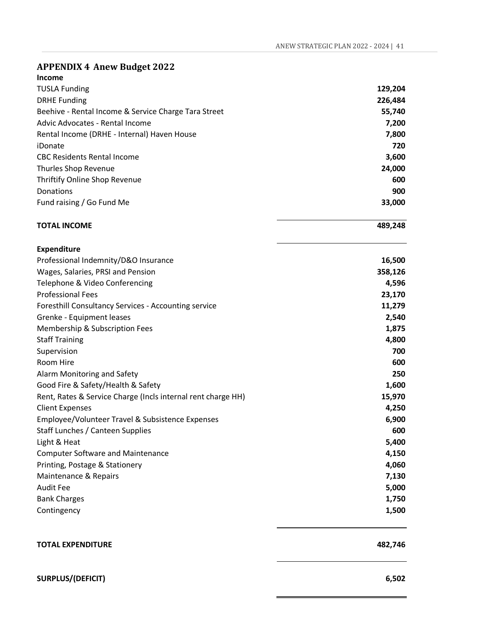| <b>Income</b>                                                |         |
|--------------------------------------------------------------|---------|
| <b>TUSLA Funding</b>                                         | 129,204 |
| <b>DRHE Funding</b>                                          | 226,484 |
| Beehive - Rental Income & Service Charge Tara Street         | 55,740  |
| Advic Advocates - Rental Income                              | 7,200   |
| Rental Income (DRHE - Internal) Haven House                  | 7,800   |
| iDonate                                                      | 720     |
| <b>CBC Residents Rental Income</b>                           | 3,600   |
| Thurles Shop Revenue                                         | 24,000  |
| Thriftify Online Shop Revenue                                | 600     |
| Donations                                                    | 900     |
| Fund raising / Go Fund Me                                    | 33,000  |
| <b>TOTAL INCOME</b>                                          | 489,248 |
| <b>Expenditure</b>                                           |         |
| Professional Indemnity/D&O Insurance                         | 16,500  |
| Wages, Salaries, PRSI and Pension                            | 358,126 |
| Telephone & Video Conferencing                               | 4,596   |
| <b>Professional Fees</b>                                     | 23,170  |
| Foresthill Consultancy Services - Accounting service         | 11,279  |
| Grenke - Equipment leases                                    | 2,540   |
| Membership & Subscription Fees                               | 1,875   |
| <b>Staff Training</b>                                        | 4,800   |
| Supervision                                                  | 700     |
| Room Hire                                                    | 600     |
| Alarm Monitoring and Safety                                  | 250     |
| Good Fire & Safety/Health & Safety                           | 1,600   |
| Rent, Rates & Service Charge (Incls internal rent charge HH) | 15,970  |
| <b>Client Expenses</b>                                       | 4,250   |
| Employee/Volunteer Travel & Subsistence Expenses             | 6,900   |
| Staff Lunches / Canteen Supplies                             | 600     |
| Light & Heat                                                 | 5,400   |
| <b>Computer Software and Maintenance</b>                     | 4,150   |
| Printing, Postage & Stationery                               | 4,060   |
| Maintenance & Repairs                                        | 7,130   |
| <b>Audit Fee</b>                                             | 5,000   |
| <b>Bank Charges</b>                                          | 1,750   |
| Contingency                                                  | 1,500   |
|                                                              |         |

**TOTAL EXPENDITURE** 482,746

### **SURPLUS/(DEFICIT) 6,502**

<span id="page-41-0"></span>**APPENDIX 4 Anew Budget 2022**